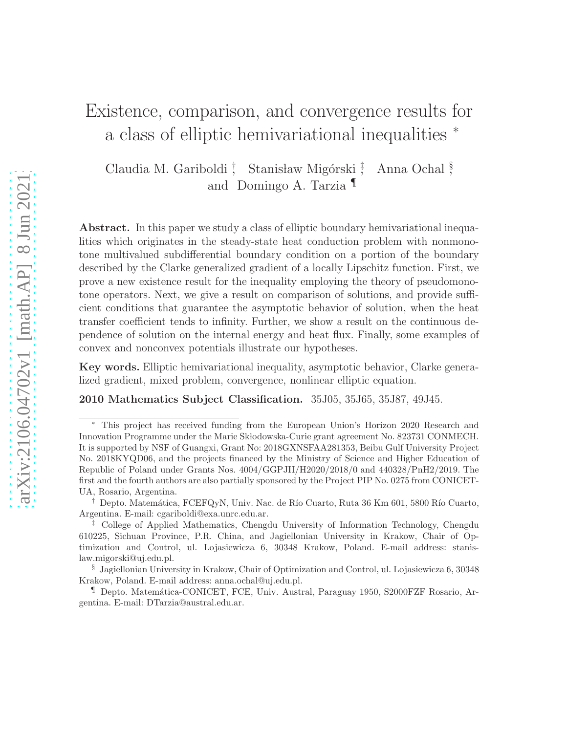# Existence, comparison, and convergence results for a class of elliptic hemivariational inequalities <sup>∗</sup>

Claudia M. Gariboldi † Stanisław Migórski<sup>‡</sup> , Anna Ochal § , and Domingo A. Tarzia ¶

Abstract. In this paper we study a class of elliptic boundary hemivariational inequalities which originates in the steady-state heat conduction problem with nonmonotone multivalued subdifferential boundary condition on a portion of the boundary described by the Clarke generalized gradient of a locally Lipschitz function. First, we prove a new existence result for the inequality employing the theory of pseudomonotone operators. Next, we give a result on comparison of solutions, and provide sufficient conditions that guarantee the asymptotic behavior of solution, when the heat transfer coefficient tends to infinity. Further, we show a result on the continuous dependence of solution on the internal energy and heat flux. Finally, some examples of convex and nonconvex potentials illustrate our hypotheses.

Key words. Elliptic hemivariational inequality, asymptotic behavior, Clarke generalized gradient, mixed problem, convergence, nonlinear elliptic equation.

2010 Mathematics Subject Classification. 35J05, 35J65, 35J87, 49J45.

This project has received funding from the European Union's Horizon 2020 Research and Innovation Programme under the Marie Skłodowska-Curie grant agreement No. 823731 CONMECH. It is supported by NSF of Guangxi, Grant No: 2018GXNSFAA281353, Beibu Gulf University Project No. 2018KYQD06, and the projects financed by the Ministry of Science and Higher Education of Republic of Poland under Grants Nos. 4004/GGPJII/H2020/2018/0 and 440328/PnH2/2019. The first and the fourth authors are also partially sponsored by the Project PIP No. 0275 from CONICET-UA, Rosario, Argentina.

<sup>&</sup>lt;sup>†</sup> Depto. Matemática, FCEFQyN, Univ. Nac. de Río Cuarto, Ruta 36 Km 601, 5800 Río Cuarto, Argentina. E-mail: cgariboldi@exa.unrc.edu.ar.

<sup>‡</sup> College of Applied Mathematics, Chengdu University of Information Technology, Chengdu 610225, Sichuan Province, P.R. China, and Jagiellonian University in Krakow, Chair of Optimization and Control, ul. Lojasiewicza 6, 30348 Krakow, Poland. E-mail address: stanislaw.migorski@uj.edu.pl.

<sup>§</sup> Jagiellonian University in Krakow, Chair of Optimization and Control, ul. Lojasiewicza 6, 30348 Krakow, Poland. E-mail address: anna.ochal@uj.edu.pl.

<sup>¶</sup> Depto. Matem´atica-CONICET, FCE, Univ. Austral, Paraguay 1950, S2000FZF Rosario, Argentina. E-mail: DTarzia@austral.edu.ar.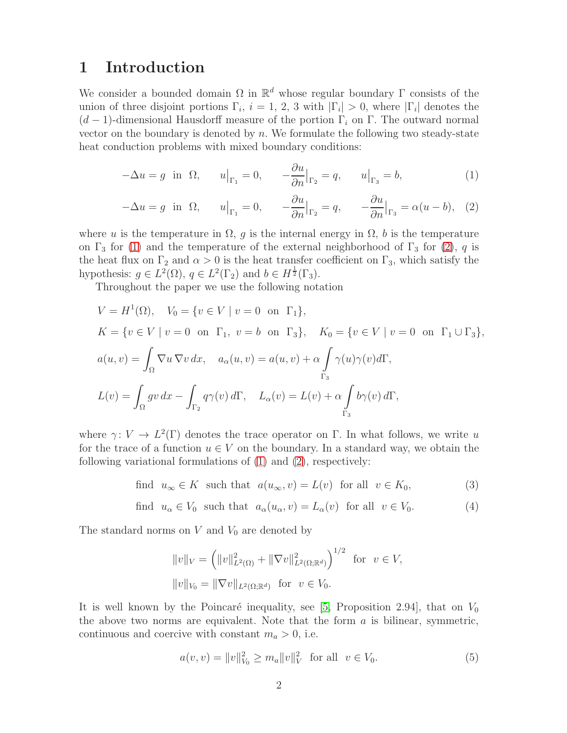### 1 Introduction

We consider a bounded domain  $\Omega$  in  $\mathbb{R}^d$  whose regular boundary  $\Gamma$  consists of the union of three disjoint portions  $\Gamma_i$ ,  $i = 1, 2, 3$  with  $|\Gamma_i| > 0$ , where  $|\Gamma_i|$  denotes the  $(d-1)$ -dimensional Hausdorff measure of the portion  $\Gamma_i$  on  $\Gamma$ . The outward normal vector on the boundary is denoted by  $n$ . We formulate the following two steady-state heat conduction problems with mixed boundary conditions:

<span id="page-1-0"></span>
$$
-\Delta u = g \text{ in } \Omega, \qquad u\big|_{\Gamma_1} = 0, \qquad -\frac{\partial u}{\partial n}\big|_{\Gamma_2} = q, \qquad u\big|_{\Gamma_3} = b,\tag{1}
$$

$$
-\Delta u = g \text{ in } \Omega, \qquad u\big|_{\Gamma_1} = 0, \qquad -\frac{\partial u}{\partial n}\big|_{\Gamma_2} = q, \qquad -\frac{\partial u}{\partial n}\big|_{\Gamma_3} = \alpha(u - b), \quad (2)
$$

where u is the temperature in  $\Omega$ , g is the internal energy in  $\Omega$ , b is the temperature on  $\Gamma_3$  for [\(1\)](#page-1-0) and the temperature of the external neighborhood of  $\Gamma_3$  for [\(2\)](#page-1-0), q is the heat flux on  $\Gamma_2$  and  $\alpha > 0$  is the heat transfer coefficient on  $\Gamma_3$ , which satisfy the hypothesis:  $g \in L^2(\Omega)$ ,  $q \in L^2(\Gamma_2)$  and  $b \in H^{\frac{1}{2}}(\Gamma_3)$ .

Throughout the paper we use the following notation

$$
V = H^{1}(\Omega), \quad V_{0} = \{v \in V \mid v = 0 \text{ on } \Gamma_{1}\},
$$
  
\n
$$
K = \{v \in V \mid v = 0 \text{ on } \Gamma_{1}, v = b \text{ on } \Gamma_{3}\}, \quad K_{0} = \{v \in V \mid v = 0 \text{ on } \Gamma_{1} \cup \Gamma_{3}\},
$$
  
\n
$$
a(u, v) = \int_{\Omega} \nabla u \nabla v \, dx, \quad a_{\alpha}(u, v) = a(u, v) + \alpha \int_{\Gamma_{3}} \gamma(u)\gamma(v) d\Gamma,
$$
  
\n
$$
L(v) = \int_{\Omega} gv \, dx - \int_{\Gamma_{2}} q\gamma(v) \, d\Gamma, \quad L_{\alpha}(v) = L(v) + \alpha \int_{\Gamma_{3}} b\gamma(v) \, d\Gamma,
$$

where  $\gamma: V \to L^2(\Gamma)$  denotes the trace operator on  $\Gamma$ . In what follows, we write u for the trace of a function  $u \in V$  on the boundary. In a standard way, we obtain the following variational formulations of [\(1\)](#page-1-0) and [\(2\)](#page-1-0), respectively:

<span id="page-1-1"></span>find  $u_{\infty} \in K$  such that  $a(u_{\infty}, v) = L(v)$  for all  $v \in K_0$ , (3)

find 
$$
u_{\alpha} \in V_0
$$
 such that  $a_{\alpha}(u_{\alpha}, v) = L_{\alpha}(v)$  for all  $v \in V_0$ . (4)

The standard norms on  $V$  and  $V_0$  are denoted by

$$
||v||_V = (||v||_{L^2(\Omega)}^2 + ||\nabla v||_{L^2(\Omega; \mathbb{R}^d)}^2)^{1/2} \text{ for } v \in V,
$$
  

$$
||v||_{V_0} = ||\nabla v||_{L^2(\Omega; \mathbb{R}^d)} \text{ for } v \in V_0.
$$

It is well known by the Poincaré inequality, see [\[5,](#page-19-0) Proposition 2.94], that on  $V_0$ the above two norms are equivalent. Note that the form  $a$  is bilinear, symmetric, continuous and coercive with constant  $m_a > 0$ , i.e.

<span id="page-1-2"></span>
$$
a(v, v) = ||v||_{V_0}^2 \ge m_a ||v||_V^2 \quad \text{for all} \quad v \in V_0. \tag{5}
$$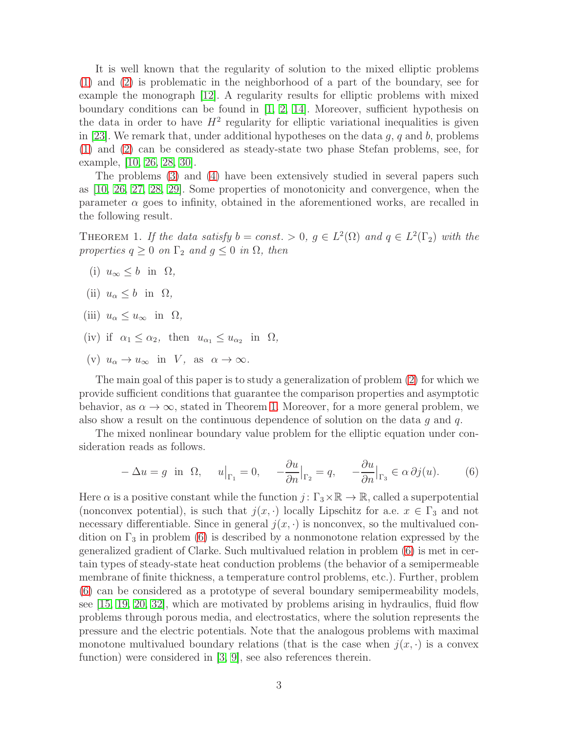It is well known that the regularity of solution to the mixed elliptic problems [\(1\)](#page-1-0) and [\(2\)](#page-1-0) is problematic in the neighborhood of a part of the boundary, see for example the monograph [\[12\]](#page-20-0). A regularity results for elliptic problems with mixed boundary conditions can be found in  $[1, 2, 14]$  $[1, 2, 14]$  $[1, 2, 14]$ . Moreover, sufficient hypothesis on the data in order to have  $H^2$  regularity for elliptic variational inequalities is given in [\[23\]](#page-20-2). We remark that, under additional hypotheses on the data  $g, q$  and  $b$ , problems [\(1\)](#page-1-0) and [\(2\)](#page-1-0) can be considered as steady-state two phase Stefan problems, see, for example, [\[10,](#page-20-3) [26,](#page-21-0) [28,](#page-21-1) [30\]](#page-21-2).

The problems [\(3\)](#page-1-1) and [\(4\)](#page-1-1) have been extensively studied in several papers such as [\[10,](#page-20-3) [26,](#page-21-0) [27,](#page-21-3) [28,](#page-21-1) [29\]](#page-21-4). Some properties of monotonicity and convergence, when the parameter  $\alpha$  goes to infinity, obtained in the aforementioned works, are recalled in the following result.

<span id="page-2-0"></span>THEOREM 1. If the data satisfy  $b = const. > 0$ ,  $g \in L^2(\Omega)$  and  $q \in L^2(\Gamma_2)$  with the properties  $q \geq 0$  on  $\Gamma_2$  and  $g \leq 0$  in  $\Omega$ , then

- (i)  $u_{\infty} \leq b$  in  $\Omega$ ,
- (ii)  $u_{\alpha} \leq b$  in  $\Omega$ ,
- (iii)  $u_{\alpha} \leq u_{\infty}$  in  $\Omega$ ,
- (iv) if  $\alpha_1 \leq \alpha_2$ , then  $u_{\alpha_1} \leq u_{\alpha_2}$  in  $\Omega$ ,
- (v)  $u_{\alpha} \to u_{\infty}$  in V, as  $\alpha \to \infty$ .

The main goal of this paper is to study a generalization of problem [\(2\)](#page-1-0) for which we provide sufficient conditions that guarantee the comparison properties and asymptotic behavior, as  $\alpha \to \infty$ , stated in Theorem [1.](#page-2-0) Moreover, for a more general problem, we also show a result on the continuous dependence of solution on the data  $q$  and  $q$ .

The mixed nonlinear boundary value problem for the elliptic equation under consideration reads as follows.

<span id="page-2-1"></span>
$$
-\Delta u = g \text{ in } \Omega, \quad u|_{\Gamma_1} = 0, \quad -\frac{\partial u}{\partial n}|_{\Gamma_2} = q, \quad -\frac{\partial u}{\partial n}|_{\Gamma_3} \in \alpha \partial j(u). \tag{6}
$$

Here  $\alpha$  is a positive constant while the function  $j: \Gamma_3 \times \mathbb{R} \to \mathbb{R}$ , called a superpotential (nonconvex potential), is such that  $j(x, \cdot)$  locally Lipschitz for a.e.  $x \in \Gamma_3$  and not necessary differentiable. Since in general  $j(x, \cdot)$  is nonconvex, so the multivalued condition on  $\Gamma_3$  in problem [\(6\)](#page-2-1) is described by a nonmonotone relation expressed by the generalized gradient of Clarke. Such multivalued relation in problem [\(6\)](#page-2-1) is met in certain types of steady-state heat conduction problems (the behavior of a semipermeable membrane of finite thickness, a temperature control problems, etc.). Further, problem [\(6\)](#page-2-1) can be considered as a prototype of several boundary semipermeability models, see [\[15,](#page-20-4) [19,](#page-20-5) [20,](#page-20-6) [32\]](#page-21-5), which are motivated by problems arising in hydraulics, fluid flow problems through porous media, and electrostatics, where the solution represents the pressure and the electric potentials. Note that the analogous problems with maximal monotone multivalued boundary relations (that is the case when  $j(x, \cdot)$  is a convex function) were considered in [\[3,](#page-19-3) [9\]](#page-19-4), see also references therein.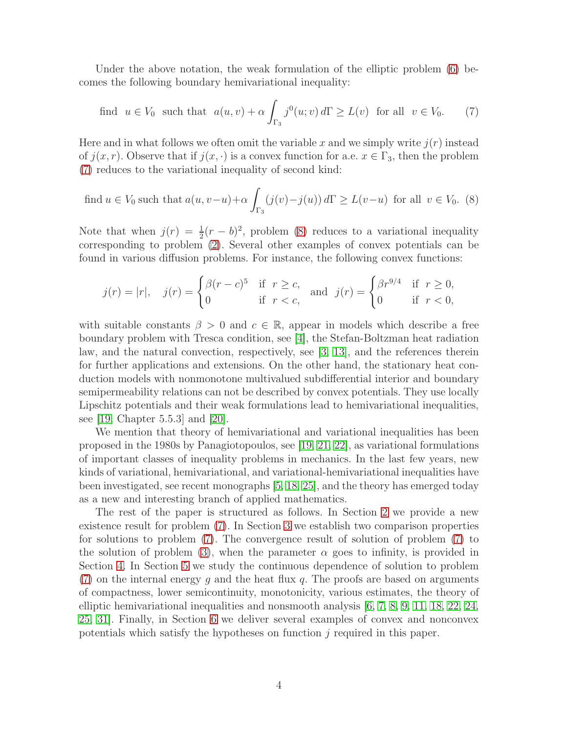Under the above notation, the weak formulation of the elliptic problem [\(6\)](#page-2-1) becomes the following boundary hemivariational inequality:

<span id="page-3-0"></span>find 
$$
u \in V_0
$$
 such that  $a(u, v) + \alpha \int_{\Gamma_3} j^0(u; v) d\Gamma \ge L(v)$  for all  $v \in V_0$ . (7)

Here and in what follows we often omit the variable x and we simply write  $i(r)$  instead of  $j(x, r)$ . Observe that if  $j(x, \cdot)$  is a convex function for a.e.  $x \in \Gamma_3$ , then the problem [\(7\)](#page-3-0) reduces to the variational inequality of second kind:

<span id="page-3-1"></span>find 
$$
u \in V_0
$$
 such that  $a(u, v-u)+\alpha \int_{\Gamma_3} (j(v)-j(u)) d\Gamma \ge L(v-u)$  for all  $v \in V_0$ . (8)

Note that when  $j(r) = \frac{1}{2}(r - b)^2$ , problem [\(8\)](#page-3-1) reduces to a variational inequality corresponding to problem [\(2\)](#page-1-0). Several other examples of convex potentials can be found in various diffusion problems. For instance, the following convex functions:

$$
j(r) = |r|, \quad j(r) = \begin{cases} \beta(r-c)^5 & \text{if } r \ge c, \\ 0 & \text{if } r < c, \end{cases} \quad \text{and} \quad j(r) = \begin{cases} \beta r^{9/4} & \text{if } r \ge 0, \\ 0 & \text{if } r < 0, \end{cases}
$$

with suitable constants  $\beta > 0$  and  $c \in \mathbb{R}$ , appear in models which describe a free boundary problem with Tresca condition, see [\[4\]](#page-19-5), the Stefan-Boltzman heat radiation law, and the natural convection, respectively, see [\[3,](#page-19-3) [13\]](#page-20-7), and the references therein for further applications and extensions. On the other hand, the stationary heat conduction models with nonmonotone multivalued subdifferential interior and boundary semipermeability relations can not be described by convex potentials. They use locally Lipschitz potentials and their weak formulations lead to hemivariational inequalities, see [\[19,](#page-20-5) Chapter 5.5.3] and [\[20\]](#page-20-6).

We mention that theory of hemivariational and variational inequalities has been proposed in the 1980s by Panagiotopoulos, see [\[19,](#page-20-5) [21,](#page-20-8) [22\]](#page-20-9), as variational formulations of important classes of inequality problems in mechanics. In the last few years, new kinds of variational, hemivariational, and variational-hemivariational inequalities have been investigated, see recent monographs [\[5,](#page-19-0) [18,](#page-20-10) [25\]](#page-21-6), and the theory has emerged today as a new and interesting branch of applied mathematics.

The rest of the paper is structured as follows. In Section [2](#page-4-0) we provide a new existence result for problem [\(7\)](#page-3-0). In Section [3](#page-8-0) we establish two comparison properties for solutions to problem [\(7\)](#page-3-0). The convergence result of solution of problem [\(7\)](#page-3-0) to the solution of problem [\(3\)](#page-1-1), when the parameter  $\alpha$  goes to infinity, is provided in Section [4.](#page-10-0) In Section [5](#page-13-0) we study the continuous dependence of solution to problem  $(7)$  on the internal energy g and the heat flux q. The proofs are based on arguments of compactness, lower semicontinuity, monotonicity, various estimates, the theory of elliptic hemivariational inequalities and nonsmooth analysis [\[6,](#page-19-6) [7,](#page-19-7) [8,](#page-19-8) [9,](#page-19-4) [11,](#page-20-11) [18,](#page-20-10) [22,](#page-20-9) [24,](#page-20-12) [25,](#page-21-6) [31\]](#page-21-7). Finally, in Section [6](#page-16-0) we deliver several examples of convex and nonconvex potentials which satisfy the hypotheses on function  $j$  required in this paper.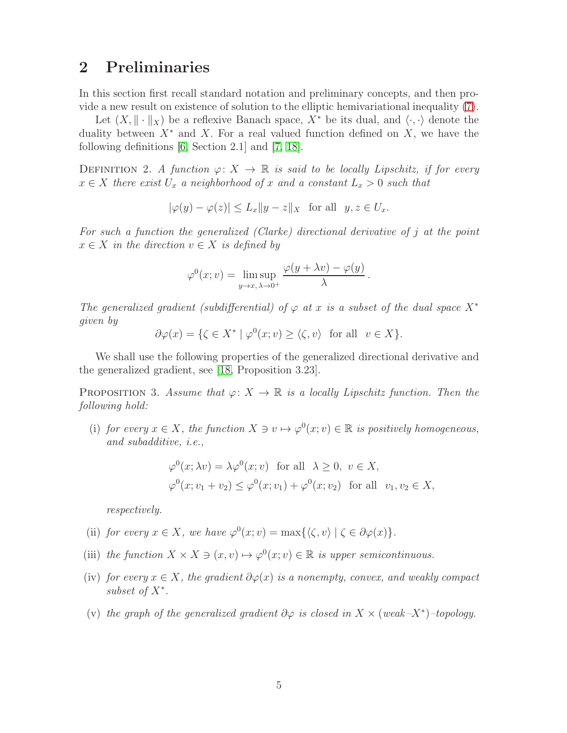### <span id="page-4-0"></span>2 Preliminaries

In this section first recall standard notation and preliminary concepts, and then provide a new result on existence of solution to the elliptic hemivariational inequality [\(7\)](#page-3-0).

Let  $(X, \|\cdot\|_X)$  be a reflexive Banach space,  $X^*$  be its dual, and  $\langle \cdot, \cdot \rangle$  denote the duality between  $X^*$  and X. For a real valued function defined on X, we have the following definitions [\[6,](#page-19-6) Section 2.1] and [\[7,](#page-19-7) [18\]](#page-20-10).

DEFINITION 2. A function  $\varphi: X \to \mathbb{R}$  is said to be locally Lipschitz, if for every  $x \in X$  there exist  $U_x$  a neighborhood of x and a constant  $L_x > 0$  such that

$$
|\varphi(y) - \varphi(z)| \le L_x \|y - z\|_X \quad \text{for all} \quad y, z \in U_x.
$$

For such a function the generalized (Clarke) directional derivative of j at the point  $x \in X$  in the direction  $v \in X$  is defined by

$$
\varphi^{0}(x; v) = \limsup_{y \to x, \, \lambda \to 0^{+}} \frac{\varphi(y + \lambda v) - \varphi(y)}{\lambda}.
$$

The generalized gradient (subdifferential) of  $\varphi$  at x is a subset of the dual space  $X^*$ given by

$$
\partial \varphi(x) = \{ \zeta \in X^* \mid \varphi^0(x; v) \ge \langle \zeta, v \rangle \text{ for all } v \in X \}.
$$

We shall use the following properties of the generalized directional derivative and the generalized gradient, see [\[18,](#page-20-10) Proposition 3.23].

<span id="page-4-1"></span>PROPOSITION 3. Assume that  $\varphi: X \to \mathbb{R}$  is a locally Lipschitz function. Then the following hold:

(i) for every  $x \in X$ , the function  $X \ni v \mapsto \varphi^0(x; v) \in \mathbb{R}$  is positively homogeneous, and subadditive, i.e.,

$$
\varphi^0(x; \lambda v) = \lambda \varphi^0(x; v) \text{ for all } \lambda \ge 0, v \in X,
$$
  

$$
\varphi^0(x; v_1 + v_2) \le \varphi^0(x; v_1) + \varphi^0(x; v_2) \text{ for all } v_1, v_2 \in X,
$$

respectively.

- (ii) for every  $x \in X$ , we have  $\varphi^0(x; v) = \max\{\langle \zeta, v \rangle | \zeta \in \partial \varphi(x)\}.$
- (iii) the function  $X \times X \ni (x, v) \mapsto \varphi^0(x; v) \in \mathbb{R}$  is upper semicontinuous.
- (iv) for every  $x \in X$ , the gradient  $\partial \varphi(x)$  is a nonempty, convex, and weakly compact  $subset$  of  $X^*$ .
- (v) the graph of the generalized gradient  $\partial \varphi$  is closed in  $X \times (weak-X^*)$ -topology.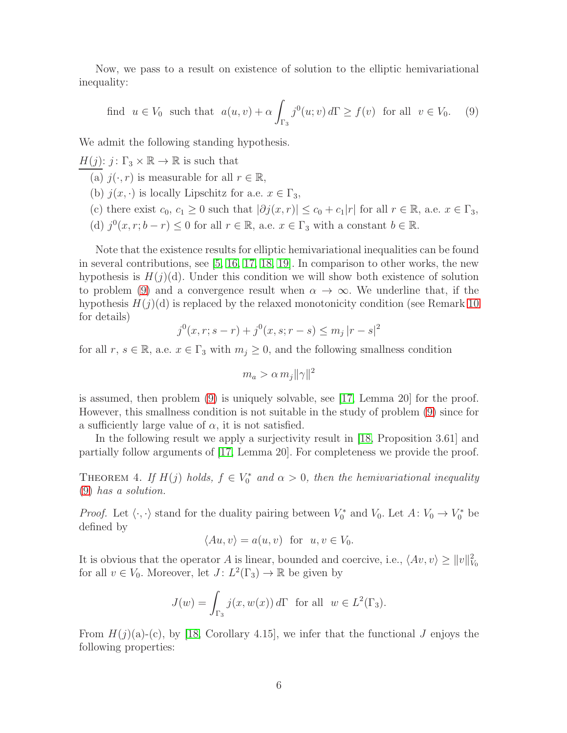Now, we pass to a result on existence of solution to the elliptic hemivariational inequality:

<span id="page-5-0"></span>find 
$$
u \in V_0
$$
 such that  $a(u, v) + \alpha \int_{\Gamma_3} j^0(u; v) d\Gamma \ge f(v)$  for all  $v \in V_0$ . (9)

We admit the following standing hypothesis.

 $H(j)$ :  $j: \Gamma_3 \times \mathbb{R} \to \mathbb{R}$  is such that

(a)  $j(\cdot, r)$  is measurable for all  $r \in \mathbb{R}$ ,

- (b)  $j(x, \cdot)$  is locally Lipschitz for a.e.  $x \in \Gamma_3$ ,
- (c) there exist  $c_0, c_1 \geq 0$  such that  $|\partial j(x, r)| \leq c_0 + c_1|r|$  for all  $r \in \mathbb{R}$ , a.e.  $x \in \Gamma_3$ ,
- (d)  $j^0(x, r; b r) \leq 0$  for all  $r \in \mathbb{R}$ , a.e.  $x \in \Gamma_3$  with a constant  $b \in \mathbb{R}$ .

Note that the existence results for elliptic hemivariational inequalities can be found in several contributions, see [\[5,](#page-19-0) [16,](#page-20-13) [17,](#page-20-14) [18,](#page-20-10) [19\]](#page-20-5). In comparison to other works, the new hypothesis is  $H(j)(d)$ . Under this condition we will show both existence of solution to problem [\(9\)](#page-5-0) and a convergence result when  $\alpha \to \infty$ . We underline that, if the hypothesis  $H(j)(d)$  is replaced by the relaxed monotonicity condition (see Remark [10](#page-16-1)) for details)

$$
j^{0}(x, r; s - r) + j^{0}(x, s; r - s) \leq m_{j} |r - s|^{2}
$$

for all  $r, s \in \mathbb{R}$ , a.e.  $x \in \Gamma_3$  with  $m_j \geq 0$ , and the following smallness condition

$$
m_a > \alpha \, m_j ||\gamma||^2
$$

is assumed, then problem [\(9\)](#page-5-0) is uniquely solvable, see [\[17,](#page-20-14) Lemma 20] for the proof. However, this smallness condition is not suitable in the study of problem [\(9\)](#page-5-0) since for a sufficiently large value of  $\alpha$ , it is not satisfied.

In the following result we apply a surjectivity result in [\[18,](#page-20-10) Proposition 3.61] and partially follow arguments of [\[17,](#page-20-14) Lemma 20]. For completeness we provide the proof.

<span id="page-5-1"></span>THEOREM 4. If  $H(j)$  holds,  $f \in V_0^*$  $\alpha_0^*$  and  $\alpha > 0$ , then the hemivariational inequality [\(9\)](#page-5-0) has a solution.

*Proof.* Let  $\langle \cdot, \cdot \rangle$  stand for the duality pairing between  $V_0^*$  and  $V_0$ . Let  $A: V_0 \to V_0^*$  be defined by

$$
\langle Au, v \rangle = a(u, v) \text{ for } u, v \in V_0.
$$

It is obvious that the operator A is linear, bounded and coercive, i.e.,  $\langle Av, v \rangle \ge ||v||_{V_0}^2$ for all  $v \in V_0$ . Moreover, let  $J: L^2(\Gamma_3) \to \mathbb{R}$  be given by

$$
J(w) = \int_{\Gamma_3} j(x, w(x)) d\Gamma \text{ for all } w \in L^2(\Gamma_3).
$$

From  $H(j)(a)-(c)$ , by [\[18,](#page-20-10) Corollary 4.15], we infer that the functional J enjoys the following properties: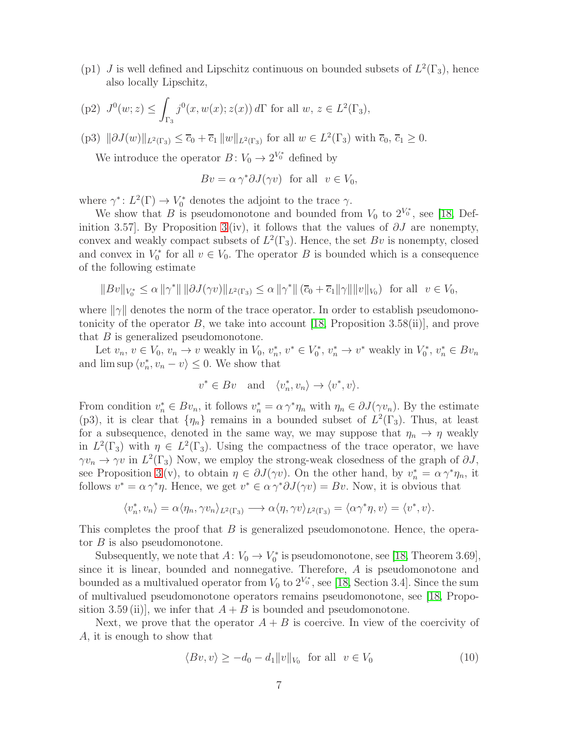(p1) J is well defined and Lipschitz continuous on bounded subsets of  $L^2(\Gamma_3)$ , hence also locally Lipschitz,

(p2) 
$$
J^0(w; z) \le \int_{\Gamma_3} j^0(x, w(x); z(x)) d\Gamma
$$
 for all  $w, z \in L^2(\Gamma_3)$ ,

(p3)  $\|\partial J(w)\|_{L^2(\Gamma_3)} \leq \overline{c}_0 + \overline{c}_1 \|w\|_{L^2(\Gamma_3)}$  for all  $w \in L^2(\Gamma_3)$  with  $\overline{c}_0, \overline{c}_1 \geq 0$ .

We introduce the operator  $B: V_0 \to 2^{V_0^*}$  defined by

$$
Bv = \alpha \gamma^* \partial J(\gamma v) \text{ for all } v \in V_0,
$$

where  $\gamma^*: L^2(\Gamma) \to V_0^*$  denotes the adjoint to the trace  $\gamma$ .

We show that B is pseudomonotone and bounded from  $V_0$  to  $2^{V_0^*}$ , see [\[18,](#page-20-10) Def-inition [3](#page-4-1).57]. By Proposition 3 (iv), it follows that the values of  $\partial J$  are nonempty, convex and weakly compact subsets of  $L^2(\Gamma_3)$ . Hence, the set Bv is nonempty, closed and convex in  $V_0^*$  $\zeta_0^*$  for all  $v \in V_0$ . The operator B is bounded which is a consequence of the following estimate

$$
||Bv||_{V_0^*} \le \alpha ||\gamma^*|| \, ||\partial J(\gamma v)||_{L^2(\Gamma_3)} \le \alpha ||\gamma^*|| \, (\overline{c}_0 + \overline{c}_1 ||\gamma|| ||v||_{V_0}) \text{ for all } v \in V_0,
$$

where  $\|\gamma\|$  denotes the norm of the trace operator. In order to establish pseudomono-tonicity of the operator B, we take into account [\[18,](#page-20-10) Proposition 3.58(ii)], and prove that  $B$  is generalized pseudomonotone.

Let  $v_n, v \in V_0, v_n \to v$  weakly in  $V_0, v_n^*$ \*,  $v^* \in V_0^*$  $v_0^*, v_n^* \to v^*$  weakly in  $V_0^*$  $v_n^*, v_n^* \in Bv_n$ and  $\limsup \langle v_n^* \rangle$  $\langle n, v_n - v \rangle \leq 0$ . We show that

$$
v^* \in Bv \quad \text{and} \quad \langle v_n^*, v_n \rangle \to \langle v^*, v \rangle.
$$

From condition  $v_n^* \in Bv_n$ , it follows  $v_n^* = \alpha \gamma^* \eta_n$  with  $\eta_n \in \partial J(\gamma v_n)$ . By the estimate (p3), it is clear that  $\{\eta_n\}$  remains in a bounded subset of  $L^2(\Gamma_3)$ . Thus, at least for a subsequence, denoted in the same way, we may suppose that  $\eta_n \to \eta$  weakly in  $L^2(\Gamma_3)$  with  $\eta \in L^2(\Gamma_3)$ . Using the compactness of the trace operator, we have  $\gamma v_n \to \gamma v$  in  $L^2(\Gamma_3)$  Now, we employ the strong-weak closedness of the graph of  $\partial J$ , see Proposition [3](#page-4-1)(v), to obtain  $\eta \in \partial J(\gamma v)$ . On the other hand, by  $v_n^* = \alpha \gamma^* \eta_n$ , it follows  $v^* = \alpha \gamma^* \eta$ . Hence, we get  $v^* \in \alpha \gamma^* \partial J(\gamma v) = Bv$ . Now, it is obvious that

$$
\langle v_n^*, v_n \rangle = \alpha \langle \eta_n, \gamma v_n \rangle_{L^2(\Gamma_3)} \longrightarrow \alpha \langle \eta, \gamma v \rangle_{L^2(\Gamma_3)} = \langle \alpha \gamma^* \eta, v \rangle = \langle v^*, v \rangle.
$$

This completes the proof that B is generalized pseudomonotone. Hence, the operator  $B$  is also pseudomonotone.

Subsequently, we note that  $A: V_0 \to V_0^*$  $V_0^*$  is pseudomonotone, see [\[18,](#page-20-10) Theorem 3.69], since it is linear, bounded and nonnegative. Therefore, A is pseudomonotone and bounded as a multivalued operator from  $V_0$  to  $2^{V_0^*}$ , see [\[18,](#page-20-10) Section 3.4]. Since the sum of multivalued pseudomonotone operators remains pseudomonotone, see [\[18,](#page-20-10) Proposition 3.59 (ii), we infer that  $A + B$  is bounded and pseudomonotone.

Next, we prove that the operator  $A + B$  is coercive. In view of the coercivity of A, it is enough to show that

<span id="page-6-0"></span>
$$
\langle Bv, v \rangle \ge -d_0 - d_1 \|v\|_{V_0} \quad \text{for all} \quad v \in V_0 \tag{10}
$$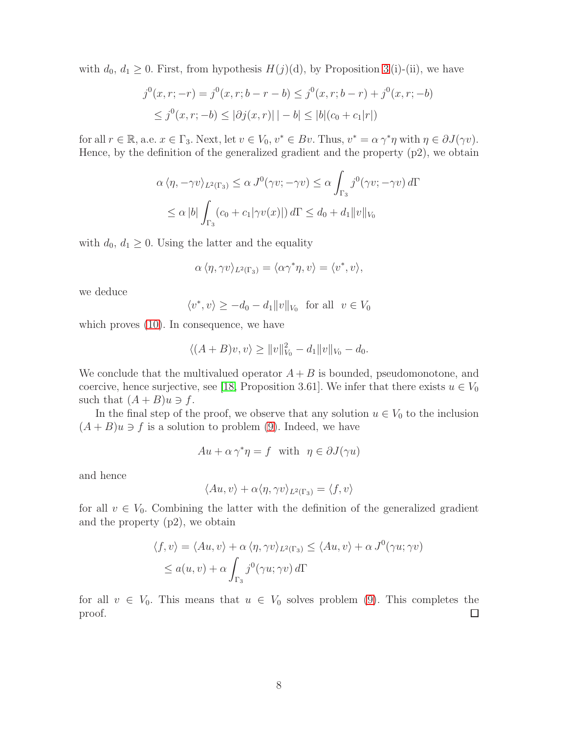with  $d_0, d_1 \geq 0$ . First, from hypothesis  $H(j)(d)$ , by Proposition [3](#page-4-1) (i)-(ii), we have

$$
j^{0}(x, r; -r) = j^{0}(x, r; b - r - b) \leq j^{0}(x, r; b - r) + j^{0}(x, r; -b)
$$
  

$$
\leq j^{0}(x, r; -b) \leq |\partial j(x, r)| \, |-b| \leq |b|(c_{0} + c_{1}|r|)
$$

for all  $r \in \mathbb{R}$ , a.e.  $x \in \Gamma_3$ . Next, let  $v \in V_0$ ,  $v^* \in Bv$ . Thus,  $v^* = \alpha \gamma^* \eta$  with  $\eta \in \partial J(\gamma v)$ . Hence, by the definition of the generalized gradient and the property (p2), we obtain

$$
\alpha \langle \eta, -\gamma v \rangle_{L^2(\Gamma_3)} \le \alpha J^0(\gamma v; -\gamma v) \le \alpha \int_{\Gamma_3} j^0(\gamma v; -\gamma v) d\Gamma
$$
  

$$
\le \alpha |b| \int_{\Gamma_3} (c_0 + c_1 |\gamma v(x)|) d\Gamma \le d_0 + d_1 ||v||_{V_0}
$$

with  $d_0, d_1 \geq 0$ . Using the latter and the equality

$$
\alpha \langle \eta, \gamma v \rangle_{L^2(\Gamma_3)} = \langle \alpha \gamma^* \eta, v \rangle = \langle v^*, v \rangle,
$$

we deduce

$$
\langle v^*, v \rangle \ge -d_0 - d_1 \|v\|_{V_0} \text{ for all } v \in V_0
$$

which proves  $(10)$ . In consequence, we have

$$
\langle (A+B)v, v \rangle \ge ||v||_{V_0}^2 - d_1 ||v||_{V_0} - d_0.
$$

We conclude that the multivalued operator  $A + B$  is bounded, pseudomonotone, and coercive, hence surjective, see [\[18,](#page-20-10) Proposition 3.61]. We infer that there exists  $u \in V_0$ such that  $(A + B)u \ni f$ .

In the final step of the proof, we observe that any solution  $u \in V_0$  to the inclusion  $(A + B)u \ni f$  is a solution to problem [\(9\)](#page-5-0). Indeed, we have

$$
Au + \alpha \gamma^* \eta = f \quad \text{with} \quad \eta \in \partial J(\gamma u)
$$

and hence

$$
\langle Au, v \rangle + \alpha \langle \eta, \gamma v \rangle_{L^2(\Gamma_3)} = \langle f, v \rangle
$$

for all  $v \in V_0$ . Combining the latter with the definition of the generalized gradient and the property (p2), we obtain

$$
\langle f, v \rangle = \langle Au, v \rangle + \alpha \langle \eta, \gamma v \rangle_{L^2(\Gamma_3)} \le \langle Au, v \rangle + \alpha J^0(\gamma u; \gamma v)
$$
  

$$
\le a(u, v) + \alpha \int_{\Gamma_3} j^0(\gamma u; \gamma v) d\Gamma
$$

for all  $v \in V_0$ . This means that  $u \in V_0$  solves problem [\(9\)](#page-5-0). This completes the  $\Box$ proof.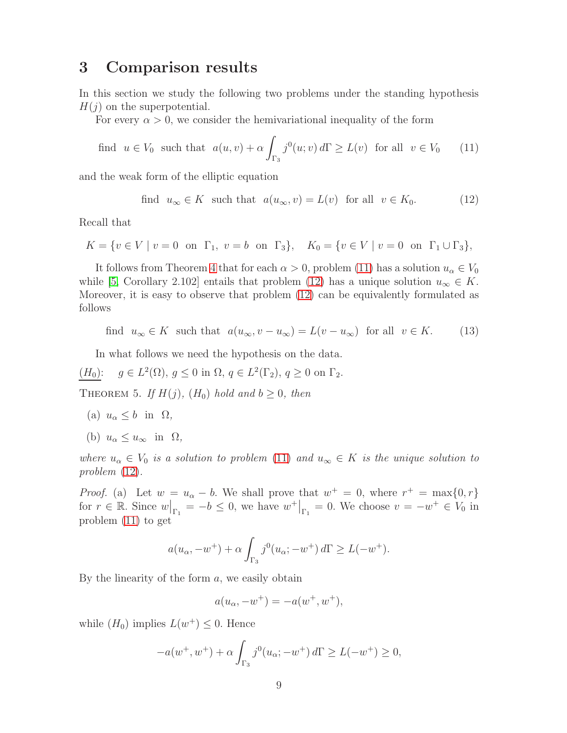### <span id="page-8-0"></span>3 Comparison results

In this section we study the following two problems under the standing hypothesis  $H(j)$  on the superpotential.

For every  $\alpha > 0$ , we consider the hemivariational inequality of the form

<span id="page-8-1"></span>find 
$$
u \in V_0
$$
 such that  $a(u, v) + \alpha \int_{\Gamma_3} j^0(u; v) d\Gamma \ge L(v)$  for all  $v \in V_0$  (11)

and the weak form of the elliptic equation

<span id="page-8-2"></span>find 
$$
u_{\infty} \in K
$$
 such that  $a(u_{\infty}, v) = L(v)$  for all  $v \in K_0$ . (12)

Recall that

$$
K = \{ v \in V \mid v = 0 \text{ on } \Gamma_1, v = b \text{ on } \Gamma_3 \}, \quad K_0 = \{ v \in V \mid v = 0 \text{ on } \Gamma_1 \cup \Gamma_3 \},
$$

It follows from Theorem [4](#page-5-1) that for each  $\alpha > 0$ , problem [\(11\)](#page-8-1) has a solution  $u_{\alpha} \in V_0$ while [\[5,](#page-19-0) Corollary 2.102] entails that problem [\(12\)](#page-8-2) has a unique solution  $u_{\infty} \in K$ . Moreover, it is easy to observe that problem [\(12\)](#page-8-2) can be equivalently formulated as follows

find  $u_{\infty} \in K$  such that  $a(u_{\infty}, v - u_{\infty}) = L(v - u_{\infty})$  for all  $v \in K$ . (13)

In what follows we need the hypothesis on the data.

$$
(H_0): g \in L^2(\Omega), g \le 0 \text{ in } \Omega, q \in L^2(\Gamma_2), q \ge 0 \text{ on } \Gamma_2.
$$

<span id="page-8-3"></span>THEOREM 5. If  $H(j)$ ,  $(H_0)$  hold and  $b \geq 0$ , then

- (a)  $u_{\alpha} < b$  in  $\Omega$ ,
- (b)  $u_{\alpha} \leq u_{\infty}$  in  $\Omega$ ,

where  $u_{\alpha} \in V_0$  is a solution to problem [\(11\)](#page-8-1) and  $u_{\infty} \in K$  is the unique solution to problem [\(12\)](#page-8-2).

*Proof.* (a) Let  $w = u_{\alpha} - b$ . We shall prove that  $w^+ = 0$ , where  $r^+ = \max\{0, r\}$ for  $r \in \mathbb{R}$ . Since  $w|_{\Gamma_1} = -b \leq 0$ , we have  $w^+|_{\Gamma_1} = 0$ . We choose  $v = -w^+ \in V_0$  in problem [\(11\)](#page-8-1) to get

$$
a(u_{\alpha}, -w^+) + \alpha \int_{\Gamma_3} j^0(u_{\alpha}; -w^+) d\Gamma \ge L(-w^+).
$$

By the linearity of the form  $a$ , we easily obtain

$$
a(u_{\alpha}, -w^{+}) = -a(w^{+}, w^{+}),
$$

while  $(H_0)$  implies  $L(w^+) \leq 0$ . Hence

$$
-a(w^+, w^+) + \alpha \int_{\Gamma_3} j^0(u_\alpha; -w^+) d\Gamma \ge L(-w^+) \ge 0,
$$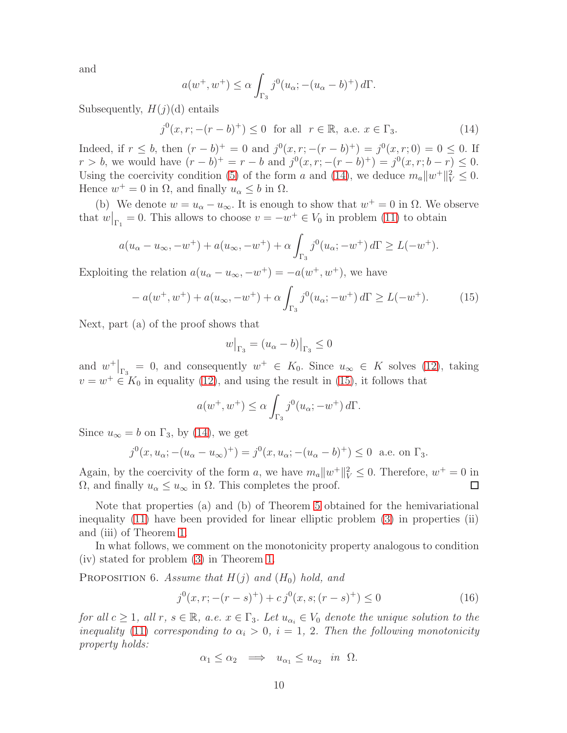and

$$
a(w^+, w^+) \le \alpha \int_{\Gamma_3} j^0(u_\alpha; -(u_\alpha - b)^+) d\Gamma.
$$

Subsequently,  $H(j)(d)$  entails

<span id="page-9-0"></span> $j^{0}(x, r; -(r - b)^{+}) \leq 0$  for all  $r \in \mathbb{R}$ , a.e.  $x \in \Gamma_{3}$ . (14)

Indeed, if  $r \leq b$ , then  $(r - b)^{+} = 0$  and  $j^{0}(x, r; -(r - b)^{+}) = j^{0}(x, r; 0) = 0 \leq 0$ . If  $r > b$ , we would have  $(r - b)^{+} = r - b$  and  $j^{0}(x, r; -(r - b)^{+}) = j^{0}(x, r; b - r) \leq 0$ . Using the coercivity condition [\(5\)](#page-1-2) of the form a and [\(14\)](#page-9-0), we deduce  $m_a||w^+||_V^2 \leq 0$ . Hence  $w^+ = 0$  in  $\Omega$ , and finally  $u_\alpha \leq b$  in  $\Omega$ .

(b) We denote  $w = u_{\alpha} - u_{\infty}$ . It is enough to show that  $w^+ = 0$  in  $\Omega$ . We observe that  $w|_{\Gamma_1} = 0$ . This allows to choose  $v = -w^+ \in V_0$  in problem [\(11\)](#page-8-1) to obtain

$$
a(u_{\alpha}-u_{\infty}, -w^{+}) + a(u_{\infty}, -w^{+}) + \alpha \int_{\Gamma_3} j^{0}(u_{\alpha}; -w^{+}) d\Gamma \ge L(-w^{+}).
$$

Exploiting the relation  $a(u_{\alpha}-u_{\infty},-w^+)=-a(w^+,w^+)$ , we have

<span id="page-9-1"></span>
$$
- a(w^+, w^+) + a(u_{\infty}, -w^+) + \alpha \int_{\Gamma_3} j^0(u_{\alpha}; -w^+) d\Gamma \ge L(-w^+). \tag{15}
$$

Next, part (a) of the proof shows that

$$
w\big|_{\Gamma_3} = (u_\alpha - b)\big|_{\Gamma_3} \le 0
$$

and  $w^+|_{\Gamma_3} = 0$ , and consequently  $w^+ \in K_0$ . Since  $u_{\infty} \in K$  solves [\(12\)](#page-8-2), taking  $v = w^+ \in K_0$  in equality [\(12\)](#page-8-2), and using the result in [\(15\)](#page-9-1), it follows that

$$
a(w^+, w^+) \le \alpha \int_{\Gamma_3} j^0(u_\alpha; -w^+) d\Gamma.
$$

Since  $u_{\infty} = b$  on  $\Gamma_3$ , by [\(14\)](#page-9-0), we get

$$
j^{0}(x, u_{\alpha}; -(u_{\alpha} - u_{\infty})^{+}) = j^{0}(x, u_{\alpha}; -(u_{\alpha} - b)^{+}) \leq 0
$$
 a.e. on  $\Gamma_{3}$ .

Again, by the coercivity of the form a, we have  $m_a||w^+||_V^2 \leq 0$ . Therefore,  $w^+ = 0$  in  $Ω$ , and finally  $u<sub>α</sub> ≤ u<sub>∞</sub>$  in  $Ω$ . This completes the proof.  $\Box$ 

Note that properties (a) and (b) of Theorem [5](#page-8-3) obtained for the hemivariational inequality [\(11\)](#page-8-1) have been provided for linear elliptic problem [\(3\)](#page-1-1) in properties (ii) and (iii) of Theorem [1.](#page-2-0)

In what follows, we comment on the monotonicity property analogous to condition (iv) stated for problem [\(3\)](#page-1-1) in Theorem [1.](#page-2-0)

<span id="page-9-3"></span>PROPOSITION 6. Assume that  $H(j)$  and  $(H_0)$  hold, and

<span id="page-9-2"></span>
$$
j^{0}(x, r; -(r - s)^{+}) + cj^{0}(x, s; (r - s)^{+}) \le 0
$$
\n(16)

for all  $c \geq 1$ , all  $r, s \in \mathbb{R}$ , a.e.  $x \in \Gamma_3$ . Let  $u_{\alpha_i} \in V_0$  denote the unique solution to the inequality [\(11\)](#page-8-1) corresponding to  $\alpha_i > 0$ ,  $i = 1, 2$ . Then the following monotonicity property holds:

$$
\alpha_1 \le \alpha_2 \quad \Longrightarrow \quad u_{\alpha_1} \le u_{\alpha_2} \quad \text{in} \quad \Omega.
$$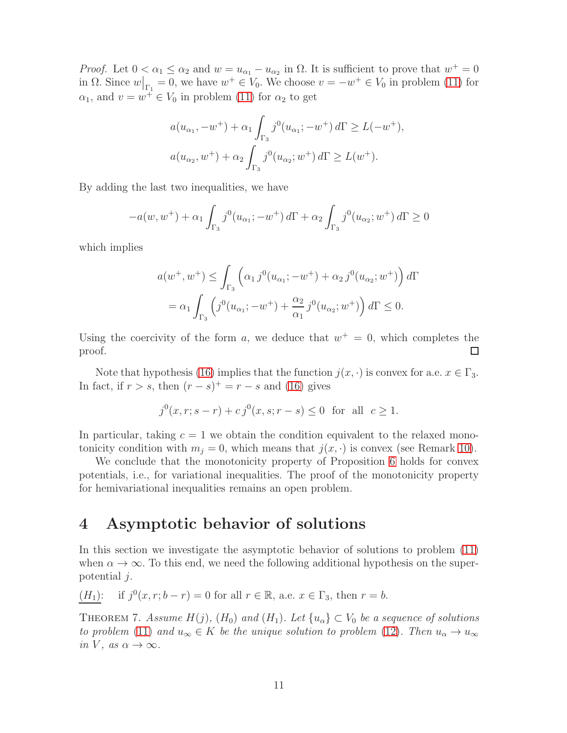*Proof.* Let  $0 < \alpha_1 \leq \alpha_2$  and  $w = u_{\alpha_1} - u_{\alpha_2}$  in  $\Omega$ . It is sufficient to prove that  $w^+ = 0$ in  $\Omega$ . Since  $w|_{\Gamma_1} = 0$ , we have  $w^+ \in V_0$ . We choose  $v = -w^+ \in V_0$  in problem [\(11\)](#page-8-1) for  $\alpha_1$ , and  $v = w^{\dagger} \in V_0$  in problem [\(11\)](#page-8-1) for  $\alpha_2$  to get

$$
a(u_{\alpha_1}, -w^+) + \alpha_1 \int_{\Gamma_3} j^0(u_{\alpha_1}; -w^+) d\Gamma \ge L(-w^+),
$$
  

$$
a(u_{\alpha_2}, w^+) + \alpha_2 \int_{\Gamma_3} j^0(u_{\alpha_2}; w^+) d\Gamma \ge L(w^+).
$$

By adding the last two inequalities, we have

$$
-a(w, w^{+}) + \alpha_1 \int_{\Gamma_3} j^0(u_{\alpha_1}; -w^{+}) d\Gamma + \alpha_2 \int_{\Gamma_3} j^0(u_{\alpha_2}; w^{+}) d\Gamma \ge 0
$$

which implies

$$
a(w^+, w^+) \leq \int_{\Gamma_3} \left( \alpha_1 j^0(u_{\alpha_1}; -w^+) + \alpha_2 j^0(u_{\alpha_2}; w^+) \right) d\Gamma
$$
  
=  $\alpha_1 \int_{\Gamma_3} \left( j^0(u_{\alpha_1}; -w^+) + \frac{\alpha_2}{\alpha_1} j^0(u_{\alpha_2}; w^+) \right) d\Gamma \leq 0.$ 

Using the coercivity of the form a, we deduce that  $w^+=0$ , which completes the  $\Box$ proof.

Note that hypothesis [\(16\)](#page-9-2) implies that the function  $j(x, \cdot)$  is convex for a.e.  $x \in \Gamma_3$ . In fact, if  $r > s$ , then  $(r - s)^{+} = r - s$  and [\(16\)](#page-9-2) gives

$$
j^0(x, r; s - r) + c j^0(x, s; r - s) \le 0
$$
 for all  $c \ge 1$ .

In particular, taking  $c = 1$  we obtain the condition equivalent to the relaxed monotonicity condition with  $m_i = 0$ , which means that  $j(x, \cdot)$  is convex (see Remark [10\)](#page-16-1).

We conclude that the monotonicity property of Proposition [6](#page-9-3) holds for convex potentials, i.e., for variational inequalities. The proof of the monotonicity property for hemivariational inequalities remains an open problem.

### <span id="page-10-0"></span>4 Asymptotic behavior of solutions

In this section we investigate the asymptotic behavior of solutions to problem [\(11\)](#page-8-1) when  $\alpha \to \infty$ . To this end, we need the following additional hypothesis on the superpotential j.

$$
(H_1)
$$
: if  $j^0(x, r; b - r) = 0$  for all  $r \in \mathbb{R}$ , a.e.  $x \in \Gamma_3$ , then  $r = b$ .

THEOREM 7. Assume  $H(j)$ ,  $(H_0)$  and  $(H_1)$ . Let  $\{u_\alpha\} \subset V_0$  be a sequence of solutions to problem [\(11\)](#page-8-1) and  $u_{\infty} \in K$  be the unique solution to problem [\(12\)](#page-8-2). Then  $u_{\alpha} \to u_{\infty}$ in V, as  $\alpha \to \infty$ .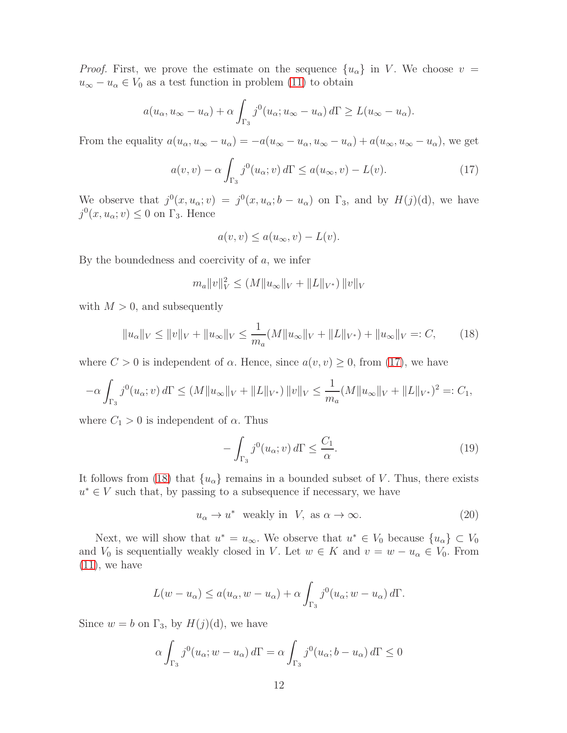*Proof.* First, we prove the estimate on the sequence  $\{u_{\alpha}\}\$ in V. We choose  $v =$  $u_{\infty} - u_{\alpha} \in V_0$  as a test function in problem [\(11\)](#page-8-1) to obtain

$$
a(u_{\alpha}, u_{\infty} - u_{\alpha}) + \alpha \int_{\Gamma_3} j^0(u_{\alpha}; u_{\infty} - u_{\alpha}) d\Gamma \ge L(u_{\infty} - u_{\alpha}).
$$

From the equality  $a(u_{\alpha}, u_{\infty} - u_{\alpha}) = -a(u_{\infty} - u_{\alpha}, u_{\infty} - u_{\alpha}) + a(u_{\infty}, u_{\infty} - u_{\alpha})$ , we get

<span id="page-11-0"></span>
$$
a(v,v) - \alpha \int_{\Gamma_3} j^0(u_\alpha; v) d\Gamma \le a(u_\infty, v) - L(v). \tag{17}
$$

We observe that  $j^0(x, u_\alpha; v) = j^0(x, u_\alpha; b - u_\alpha)$  on  $\Gamma_3$ , and by  $H(j)(d)$ , we have  $j^0(x, u_{\alpha}; v) \leq 0$  on  $\Gamma_3$ . Hence

$$
a(v, v) \le a(u_{\infty}, v) - L(v).
$$

By the boundedness and coercivity of  $a$ , we infer

$$
m_a ||v||_V^2 \le (M ||u_\infty||_V + ||L||_{V^*}) ||v||_V
$$

with  $M > 0$ , and subsequently

<span id="page-11-1"></span>
$$
||u_{\alpha}||_{V} \le ||v||_{V} + ||u_{\infty}||_{V} \le \frac{1}{m_{a}}(M||u_{\infty}||_{V} + ||L||_{V^{*}}) + ||u_{\infty}||_{V} =: C,
$$
 (18)

where  $C > 0$  is independent of  $\alpha$ . Hence, since  $a(v, v) \geq 0$ , from [\(17\)](#page-11-0), we have

$$
-\alpha \int_{\Gamma_3} j^0(u_\alpha; v) d\Gamma \le (M \|u_\infty\|_V + \|L\|_{V^*}) \|v\|_V \le \frac{1}{m_a} (M \|u_\infty\|_V + \|L\|_{V^*})^2 =: C_1,
$$

where  $C_1 > 0$  is independent of  $\alpha$ . Thus

<span id="page-11-3"></span>
$$
-\int_{\Gamma_3} j^0(u_\alpha; v) d\Gamma \le \frac{C_1}{\alpha}.\tag{19}
$$

It follows from [\(18\)](#page-11-1) that  $\{u_{\alpha}\}\$ remains in a bounded subset of V. Thus, there exists  $u^* \in V$  such that, by passing to a subsequence if necessary, we have

<span id="page-11-2"></span>
$$
u_{\alpha} \to u^* \quad \text{weakly in} \quad V, \text{ as } \alpha \to \infty. \tag{20}
$$

Next, we will show that  $u^* = u_{\infty}$ . We observe that  $u^* \in V_0$  because  $\{u_{\alpha}\}\subset V_0$ and  $V_0$  is sequentially weakly closed in V. Let  $w \in K$  and  $v = w - u_\alpha \in V_0$ . From  $(11)$ , we have

$$
L(w - u_{\alpha}) \le a(u_{\alpha}, w - u_{\alpha}) + \alpha \int_{\Gamma_3} j^0(u_{\alpha}; w - u_{\alpha}) d\Gamma.
$$

Since  $w = b$  on  $\Gamma_3$ , by  $H(j)(d)$ , we have

$$
\alpha \int_{\Gamma_3} j^0(u_\alpha; w - u_\alpha) d\Gamma = \alpha \int_{\Gamma_3} j^0(u_\alpha; b - u_\alpha) d\Gamma \le 0
$$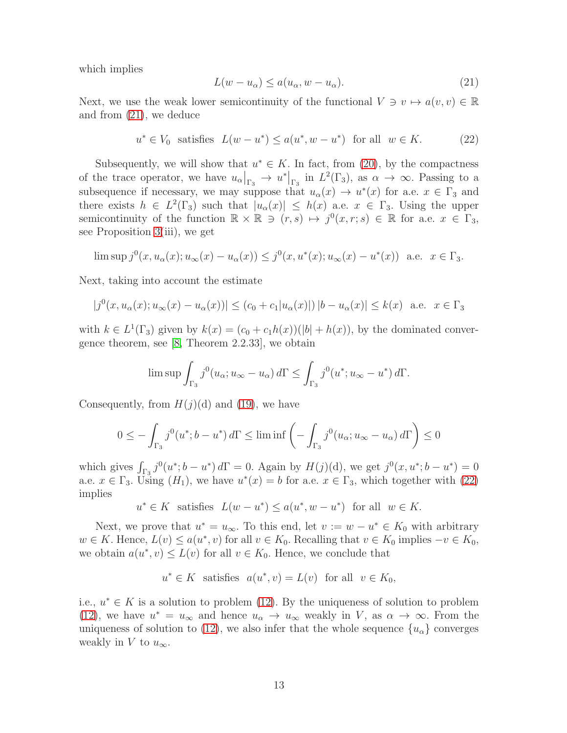which implies

<span id="page-12-0"></span>
$$
L(w - u_{\alpha}) \le a(u_{\alpha}, w - u_{\alpha}).
$$
\n(21)

Next, we use the weak lower semicontinuity of the functional  $V \ni v \mapsto a(v, v) \in \mathbb{R}$ and from [\(21\)](#page-12-0), we deduce

<span id="page-12-1"></span>
$$
u^* \in V_0 \quad \text{satisfies} \quad L(w - u^*) \le a(u^*, w - u^*) \quad \text{for all} \quad w \in K. \tag{22}
$$

Subsequently, we will show that  $u^* \in K$ . In fact, from [\(20\)](#page-11-2), by the compactness of the trace operator, we have  $u_{\alpha}|_{\Gamma_3} \to u^*|_{\Gamma_3}$  in  $L^2(\Gamma_3)$ , as  $\alpha \to \infty$ . Passing to a subsequence if necessary, we may suppose that  $u_{\alpha}(x) \to u^{*}(x)$  for a.e.  $x \in \Gamma_3$  and there exists  $h \in L^2(\Gamma_3)$  such that  $|u_\alpha(x)| \leq h(x)$  a.e.  $x \in \Gamma_3$ . Using the upper semicontinuity of the function  $\mathbb{R} \times \mathbb{R} \ni (r,s) \mapsto j^0(x,r;s) \in \mathbb{R}$  for a.e.  $x \in \Gamma_3$ , see Proposition [3\(](#page-4-1)iii), we get

$$
\limsup j^{0}(x, u_{\alpha}(x); u_{\infty}(x) - u_{\alpha}(x)) \leq j^{0}(x, u^{*}(x); u_{\infty}(x) - u^{*}(x)) \text{ a.e. } x \in \Gamma_{3}.
$$

Next, taking into account the estimate

$$
|j^{0}(x, u_{\alpha}(x); u_{\infty}(x) - u_{\alpha}(x))| \le (c_{0} + c_{1}|u_{\alpha}(x)|) |b - u_{\alpha}(x)| \le k(x) \text{ a.e. } x \in \Gamma_{3}
$$

with  $k \in L^1(\Gamma_3)$  given by  $k(x) = (c_0 + c_1h(x))(|b| + h(x))$ , by the dominated convergence theorem, see [\[8,](#page-19-8) Theorem 2.2.33], we obtain

$$
\limsup \int_{\Gamma_3} j^0(u_\alpha; u_\infty - u_\alpha) d\Gamma \le \int_{\Gamma_3} j^0(u^*; u_\infty - u^*) d\Gamma.
$$

Consequently, from  $H(j)(d)$  and [\(19\)](#page-11-3), we have

$$
0 \le -\int_{\Gamma_3} j^0(u^*; b - u^*) d\Gamma \le \liminf \left( -\int_{\Gamma_3} j^0(u_\alpha; u_\infty - u_\alpha) d\Gamma \right) \le 0
$$

which gives  $\int_{\Gamma_3} j^0(u^*; b - u^*) d\Gamma = 0$ . Again by  $H(j)(d)$ , we get  $j^0(x, u^*; b - u^*) = 0$ a.e.  $x \in \Gamma_3$ . Using  $(H_1)$ , we have  $u^*(x) = b$  for a.e.  $x \in \Gamma_3$ , which together with  $(22)$ implies

$$
u^*\in K \ \ \text{satisfies} \ \ L(w-u^*)\leq a(u^*,w-u^*) \ \ \text{for all} \ \ w\in K.
$$

Next, we prove that  $u^* = u_{\infty}$ . To this end, let  $v := w - u^* \in K_0$  with arbitrary  $w \in K$ . Hence,  $L(v) \le a(u^*, v)$  for all  $v \in K_0$ . Recalling that  $v \in K_0$  implies  $-v \in K_0$ , we obtain  $a(u^*, v) \leq L(v)$  for all  $v \in K_0$ . Hence, we conclude that

$$
u^* \in K
$$
 satisfies  $a(u^*, v) = L(v)$  for all  $v \in K_0$ ,

i.e.,  $u^* \in K$  is a solution to problem [\(12\)](#page-8-2). By the uniqueness of solution to problem [\(12\)](#page-8-2), we have  $u^* = u_{\infty}$  and hence  $u_{\alpha} \to u_{\infty}$  weakly in V, as  $\alpha \to \infty$ . From the uniqueness of solution to [\(12\)](#page-8-2), we also infer that the whole sequence  ${u_\alpha}$  converges weakly in V to  $u_{\infty}$ .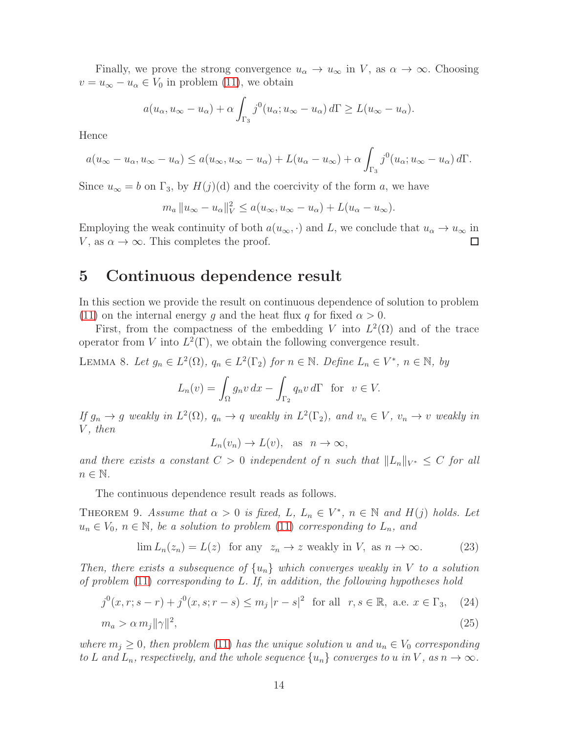Finally, we prove the strong convergence  $u_{\alpha} \to u_{\infty}$  in V, as  $\alpha \to \infty$ . Choosing  $v = u_{\infty} - u_{\alpha} \in V_0$  in problem [\(11\)](#page-8-1), we obtain

$$
a(u_{\alpha}, u_{\infty} - u_{\alpha}) + \alpha \int_{\Gamma_3} j^0(u_{\alpha}; u_{\infty} - u_{\alpha}) d\Gamma \ge L(u_{\infty} - u_{\alpha}).
$$

Hence

$$
a(u_{\infty}-u_{\alpha}, u_{\infty}-u_{\alpha}) \le a(u_{\infty}, u_{\infty}-u_{\alpha}) + L(u_{\alpha}-u_{\infty}) + \alpha \int_{\Gamma_3} j^0(u_{\alpha}; u_{\infty}-u_{\alpha}) d\Gamma.
$$

Since  $u_{\infty} = b$  on  $\Gamma_3$ , by  $H(j)(d)$  and the coercivity of the form a, we have

$$
m_a \|u_{\infty} - u_{\alpha}\|_V^2 \le a(u_{\infty}, u_{\infty} - u_{\alpha}) + L(u_{\alpha} - u_{\infty}).
$$

Employing the weak continuity of both  $a(u_{\infty}, \cdot)$  and L, we conclude that  $u_{\alpha} \to u_{\infty}$  in V, as  $\alpha \to \infty$ . This completes the proof.

### <span id="page-13-0"></span>5 Continuous dependence result

In this section we provide the result on continuous dependence of solution to problem [\(11\)](#page-8-1) on the internal energy g and the heat flux q for fixed  $\alpha > 0$ .

First, from the compactness of the embedding V into  $L^2(\Omega)$  and of the trace operator from V into  $L^2(\Gamma)$ , we obtain the following convergence result.

LEMMA 8. Let  $g_n \in L^2(\Omega)$ ,  $q_n \in L^2(\Gamma_2)$  for  $n \in \mathbb{N}$ . Define  $L_n \in V^*$ ,  $n \in \mathbb{N}$ , by

$$
L_n(v) = \int_{\Omega} g_n v \, dx - \int_{\Gamma_2} q_n v \, d\Gamma \quad \text{for} \quad v \in V.
$$

If  $g_n \to g$  weakly in  $L^2(\Omega)$ ,  $q_n \to q$  weakly in  $L^2(\Gamma_2)$ , and  $v_n \in V$ ,  $v_n \to v$  weakly in  $V$ , then

 $L_n(v_n) \to L(v)$ , as  $n \to \infty$ ,

and there exists a constant  $C > 0$  independent of n such that  $||L_n||_{V^*} \leq C$  for all  $n \in \mathbb{N}$ .

The continuous dependence result reads as follows.

THEOREM 9. Assume that  $\alpha > 0$  is fixed, L,  $L_n \in V^*$ ,  $n \in \mathbb{N}$  and  $H(j)$  holds. Let  $u_n \in V_0$ ,  $n \in \mathbb{N}$ , be a solution to problem [\(11\)](#page-8-1) corresponding to  $L_n$ , and

<span id="page-13-1"></span>
$$
\lim L_n(z_n) = L(z) \text{ for any } z_n \to z \text{ weakly in } V, \text{ as } n \to \infty. \tag{23}
$$

Then, there exists a subsequence of  $\{u_n\}$  which converges weakly in V to a solution of problem [\(11\)](#page-8-1) corresponding to L. If, in addition, the following hypotheses hold

<span id="page-13-2"></span>
$$
j^{0}(x, r; s - r) + j^{0}(x, s; r - s) \leq m_{j} |r - s|^{2} \text{ for all } r, s \in \mathbb{R}, \text{ a.e. } x \in \Gamma_{3}, \quad (24)
$$

$$
m_a > \alpha m_j \|\gamma\|^2,\tag{25}
$$

where  $m_j \geq 0$ , then problem [\(11\)](#page-8-1) has the unique solution u and  $u_n \in V_0$  corresponding to L and  $L_n$ , respectively, and the whole sequence  $\{u_n\}$  converges to u in V, as  $n \to \infty$ .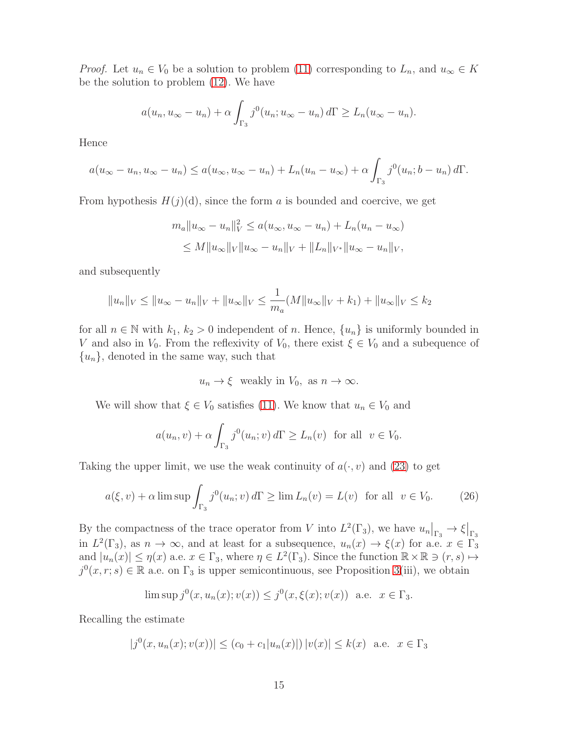*Proof.* Let  $u_n \in V_0$  be a solution to problem [\(11\)](#page-8-1) corresponding to  $L_n$ , and  $u_\infty \in K$ be the solution to problem [\(12\)](#page-8-2). We have

$$
a(u_n, u_{\infty}-u_n)+\alpha \int_{\Gamma_3} j^0(u_n; u_{\infty}-u_n) d\Gamma \ge L_n(u_{\infty}-u_n).
$$

Hence

$$
a(u_{\infty}-u_n, u_{\infty}-u_n)\leq a(u_{\infty}, u_{\infty}-u_n)+L_n(u_n-u_{\infty})+\alpha\int_{\Gamma_3}j^0(u_n; b-u_n)\,d\Gamma.
$$

From hypothesis  $H(j)(d)$ , since the form a is bounded and coercive, we get

$$
m_a \|u_{\infty} - u_n\|_V^2 \le a(u_{\infty}, u_{\infty} - u_n) + L_n(u_n - u_{\infty})
$$
  

$$
\le M \|u_{\infty}\|_V \|u_{\infty} - u_n\|_V + \|L_n\|_{V^*} \|u_{\infty} - u_n\|_V,
$$

and subsequently

$$
||u_n||_V \le ||u_\infty - u_n||_V + ||u_\infty||_V \le \frac{1}{m_a}(M||u_\infty||_V + k_1) + ||u_\infty||_V \le k_2
$$

for all  $n \in \mathbb{N}$  with  $k_1, k_2 > 0$  independent of n. Hence,  $\{u_n\}$  is uniformly bounded in V and also in  $V_0$ . From the reflexivity of  $V_0$ , there exist  $\xi \in V_0$  and a subequence of  ${u_n}$ , denoted in the same way, such that

$$
u_n \to \xi
$$
 weakly in  $V_0$ , as  $n \to \infty$ .

We will show that  $\xi \in V_0$  satisfies [\(11\)](#page-8-1). We know that  $u_n \in V_0$  and

$$
a(u_n, v) + \alpha \int_{\Gamma_3} j^0(u_n; v) d\Gamma \ge L_n(v) \text{ for all } v \in V_0.
$$

Taking the upper limit, we use the weak continuity of  $a(\cdot, v)$  and [\(23\)](#page-13-1) to get

<span id="page-14-0"></span>
$$
a(\xi, v) + \alpha \limsup \int_{\Gamma_3} j^0(u_n; v) d\Gamma \ge \lim L_n(v) = L(v) \text{ for all } v \in V_0.
$$
 (26)

By the compactness of the trace operator from V into  $L^2(\Gamma_3)$ , we have  $u_n|_{\Gamma_3} \to \xi|_{\Gamma_3}$ in  $L^2(\Gamma_3)$ , as  $n \to \infty$ , and at least for a subsequence,  $u_n(x) \to \xi(x)$  for a.e.  $x \in \Gamma_3$ and  $|u_n(x)| \leq \eta(x)$  a.e.  $x \in \Gamma_3$ , where  $\eta \in L^2(\Gamma_3)$ . Since the function  $\mathbb{R} \times \mathbb{R} \ni (r, s) \mapsto$  $j^0(x, r; s) \in \mathbb{R}$  a.e. on  $\Gamma_3$  is upper semicontinuous, see Proposition [3\(](#page-4-1)iii), we obtain

$$
\limsup j^{0}(x, u_{n}(x); v(x)) \leq j^{0}(x, \xi(x); v(x))
$$
 a.e.  $x \in \Gamma_{3}$ .

Recalling the estimate

$$
|j^{0}(x, u_{n}(x); v(x))| \le (c_{0} + c_{1}|u_{n}(x)|) |v(x)| \le k(x) \text{ a.e. } x \in \Gamma_{3}
$$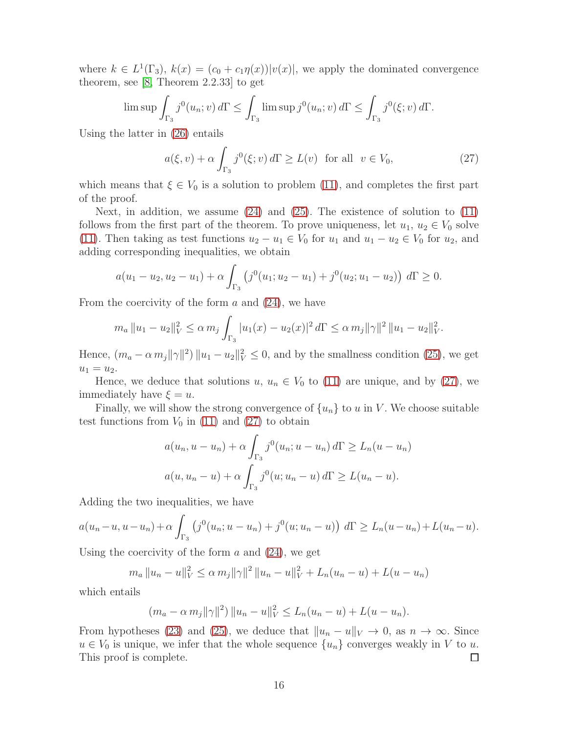where  $k \in L^1(\Gamma_3)$ ,  $k(x) = (c_0 + c_1 \eta(x)) |v(x)|$ , we apply the dominated convergence theorem, see [\[8,](#page-19-8) Theorem 2.2.33] to get

$$
\limsup \int_{\Gamma_3} j^0(u_n; v) d\Gamma \le \int_{\Gamma_3} \limsup j^0(u_n; v) d\Gamma \le \int_{\Gamma_3} j^0(\xi; v) d\Gamma.
$$

Using the latter in [\(26\)](#page-14-0) entails

<span id="page-15-0"></span>
$$
a(\xi, v) + \alpha \int_{\Gamma_3} j^0(\xi; v) d\Gamma \ge L(v) \quad \text{for all} \quad v \in V_0,
$$
 (27)

which means that  $\xi \in V_0$  is a solution to problem [\(11\)](#page-8-1), and completes the first part of the proof.

Next, in addition, we assume [\(24\)](#page-13-2) and [\(25\)](#page-13-2). The existence of solution to [\(11\)](#page-8-1) follows from the first part of the theorem. To prove uniqueness, let  $u_1, u_2 \in V_0$  solve [\(11\)](#page-8-1). Then taking as test functions  $u_2 - u_1 \in V_0$  for  $u_1$  and  $u_1 - u_2 \in V_0$  for  $u_2$ , and adding corresponding inequalities, we obtain

$$
a(u_1 - u_2, u_2 - u_1) + \alpha \int_{\Gamma_3} (j^0(u_1; u_2 - u_1) + j^0(u_2; u_1 - u_2)) d\Gamma \ge 0.
$$

From the coercivity of the form  $a$  and  $(24)$ , we have

$$
m_a \|u_1 - u_2\|_V^2 \le \alpha m_j \int_{\Gamma_3} |u_1(x) - u_2(x)|^2 d\Gamma \le \alpha m_j \|\gamma\|^2 \|u_1 - u_2\|_V^2.
$$

Hence,  $(m_a - \alpha m_j ||\gamma||^2) ||u_1 - u_2||_V^2 \leq 0$ , and by the smallness condition [\(25\)](#page-13-2), we get  $u_1 = u_2.$ 

Hence, we deduce that solutions  $u, u_n \in V_0$  to [\(11\)](#page-8-1) are unique, and by [\(27\)](#page-15-0), we immediately have  $\xi = u$ .

Finally, we will show the strong convergence of  $\{u_n\}$  to u in V. We choose suitable test functions from  $V_0$  in [\(11\)](#page-8-1) and [\(27\)](#page-15-0) to obtain

$$
a(u_n, u - u_n) + \alpha \int_{\Gamma_3} j^0(u_n; u - u_n) d\Gamma \ge L_n(u - u_n)
$$
  

$$
a(u, u_n - u) + \alpha \int_{\Gamma_3} j^0(u; u_n - u) d\Gamma \ge L(u_n - u).
$$

Adding the two inequalities, we have

$$
a(u_n - u, u - u_n) + \alpha \int_{\Gamma_3} (j^0(u_n; u - u_n) + j^0(u; u_n - u)) d\Gamma \ge L_n(u - u_n) + L(u_n - u).
$$

Using the coercivity of the form  $a$  and  $(24)$ , we get

$$
m_a \|u_n - u\|_V^2 \le \alpha m_j \|\gamma\|^2 \|u_n - u\|_V^2 + L_n(u_n - u) + L(u - u_n)
$$

which entails

$$
(m_a - \alpha m_j ||\gamma||^2) ||u_n - u||_V^2 \le L_n(u_n - u) + L(u - u_n).
$$

From hypotheses [\(23\)](#page-13-1) and [\(25\)](#page-13-2), we deduce that  $||u_n - u||_V \to 0$ , as  $n \to \infty$ . Since  $u \in V_0$  is unique, we infer that the whole sequence  $\{u_n\}$  converges weakly in V to u. This proof is complete.  $\Box$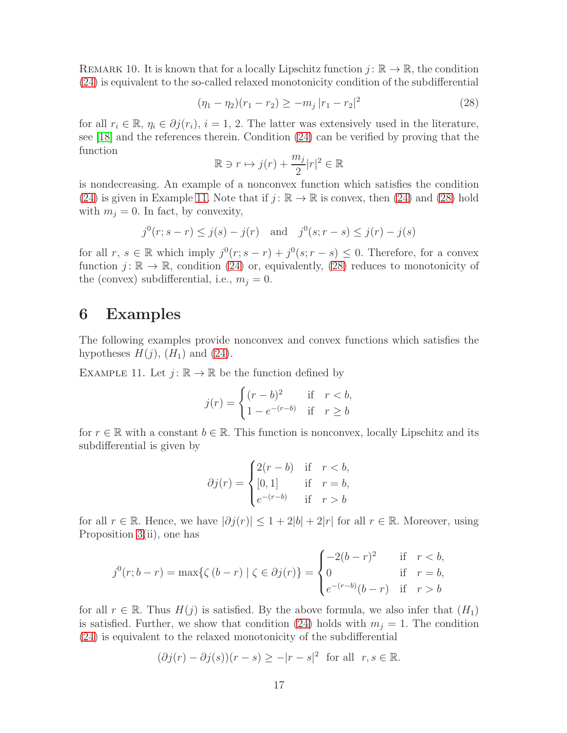<span id="page-16-1"></span>REMARK 10. It is known that for a locally Lipschitz function  $j: \mathbb{R} \to \mathbb{R}$ , the condition [\(24\)](#page-13-2) is equivalent to the so-called relaxed monotonicity condition of the subdifferential

<span id="page-16-3"></span>
$$
(\eta_1 - \eta_2)(r_1 - r_2) \ge -m_j |r_1 - r_2|^2 \tag{28}
$$

for all  $r_i \in \mathbb{R}, \eta_i \in \partial j(r_i), i = 1, 2$ . The latter was extensively used in the literature, see [\[18\]](#page-20-10) and the references therein. Condition [\(24\)](#page-13-2) can be verified by proving that the function

$$
\mathbb{R} \ni r \mapsto j(r) + \frac{m_j}{2}|r|^2 \in \mathbb{R}
$$

is nondecreasing. An example of a nonconvex function which satisfies the condition [\(24\)](#page-13-2) is given in Example [11.](#page-16-2) Note that if  $j : \mathbb{R} \to \mathbb{R}$  is convex, then [\(24\)](#page-13-2) and [\(28\)](#page-16-3) hold with  $m_j = 0$ . In fact, by convexity,

$$
j^0(r; s - r) \le j(s) - j(r)
$$
 and  $j^0(s; r - s) \le j(r) - j(s)$ 

for all  $r, s \in \mathbb{R}$  which imply  $j^0(r; s - r) + j^0(s; r - s) \leq 0$ . Therefore, for a convex function  $j: \mathbb{R} \to \mathbb{R}$ , condition [\(24\)](#page-13-2) or, equivalently, [\(28\)](#page-16-3) reduces to monotonicity of the (convex) subdifferential, i.e.,  $m_i = 0$ .

#### <span id="page-16-0"></span>6 Examples

The following examples provide nonconvex and convex functions which satisfies the hypotheses  $H(j)$ ,  $(H_1)$  and  $(24)$ .

<span id="page-16-2"></span>EXAMPLE 11. Let  $j: \mathbb{R} \to \mathbb{R}$  be the function defined by

$$
j(r) = \begin{cases} (r-b)^2 & \text{if } r < b, \\ 1 - e^{-(r-b)} & \text{if } r \ge b \end{cases}
$$

for  $r \in \mathbb{R}$  with a constant  $b \in \mathbb{R}$ . This function is nonconvex, locally Lipschitz and its subdifferential is given by

$$
\partial j(r) = \begin{cases} 2(r-b) & \text{if } r < b, \\ [0,1] & \text{if } r = b, \\ e^{-(r-b)} & \text{if } r > b \end{cases}
$$

for all  $r \in \mathbb{R}$ . Hence, we have  $|\partial j(r)| \leq 1 + 2|b| + 2|r|$  for all  $r \in \mathbb{R}$ . Moreover, using Proposition [3\(](#page-4-1)ii), one has

$$
j^{0}(r;b-r) = \max\{\zeta(b-r) \mid \zeta \in \partial j(r)\} = \begin{cases} -2(b-r)^{2} & \text{if } r < b, \\ 0 & \text{if } r = b, \\ e^{-(r-b)}(b-r) & \text{if } r > b \end{cases}
$$

for all  $r \in \mathbb{R}$ . Thus  $H(j)$  is satisfied. By the above formula, we also infer that  $(H_1)$ is satisfied. Further, we show that condition [\(24\)](#page-13-2) holds with  $m_j = 1$ . The condition [\(24\)](#page-13-2) is equivalent to the relaxed monotonicity of the subdifferential

$$
(\partial j(r) - \partial j(s))(r - s) \ge -|r - s|^2 \text{ for all } r, s \in \mathbb{R}.
$$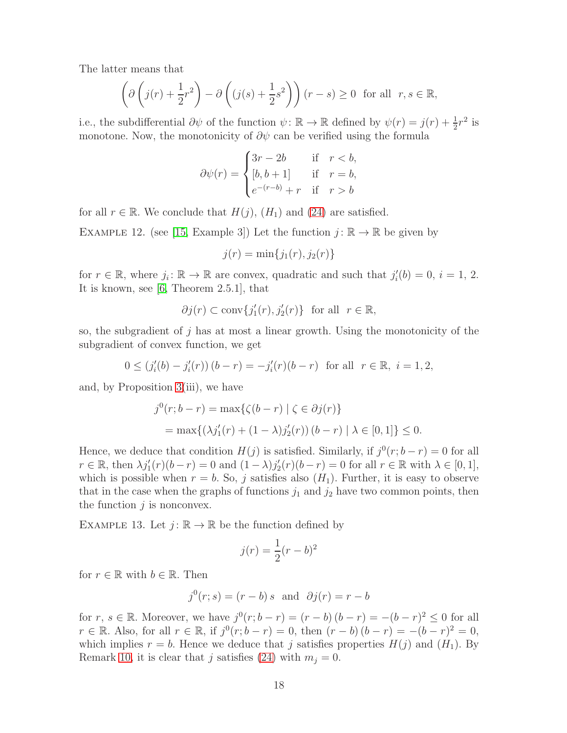The latter means that

$$
\left(\partial \left(j(r) + \frac{1}{2}r^2\right) - \partial \left((j(s) + \frac{1}{2}s^2\right)\right)(r-s) \ge 0 \text{ for all } r, s \in \mathbb{R},\
$$

i.e., the subdifferential  $\partial \psi$  of the function  $\psi \colon \mathbb{R} \to \mathbb{R}$  defined by  $\psi(r) = j(r) + \frac{1}{2}r^2$  is monotone. Now, the monotonicity of  $\partial \psi$  can be verified using the formula

$$
\partial \psi(r) = \begin{cases} 3r - 2b & \text{if } r < b, \\ [b, b+1] & \text{if } r = b, \\ e^{-(r-b)} + r & \text{if } r > b \end{cases}
$$

for all  $r \in \mathbb{R}$ . We conclude that  $H(j)$ ,  $(H_1)$  and  $(24)$  are satisfied.

EXAMPLE 12. (see [\[15,](#page-20-4) Example 3]) Let the function  $j : \mathbb{R} \to \mathbb{R}$  be given by

$$
j(r) = \min\{j_1(r), j_2(r)\}\
$$

for  $r \in \mathbb{R}$ , where  $j_i: \mathbb{R} \to \mathbb{R}$  are convex, quadratic and such that  $j'_i$  $i'_i(b) = 0, i = 1, 2.$ It is known, see [\[6,](#page-19-6) Theorem 2.5.1], that

$$
\partial j(r) \subset \text{conv}\{j'_1(r), j'_2(r)\} \ \text{ for all } \ r \in \mathbb{R},
$$

so, the subgradient of j has at most a linear growth. Using the monotonicity of the subgradient of convex function, we get

$$
0 \le (j_i'(b) - j_i'(r)) (b - r) = -j_i'(r)(b - r)
$$
 for all  $r \in \mathbb{R}$ ,  $i = 1, 2$ ,

and, by Proposition [3\(](#page-4-1)iii), we have

$$
j^{0}(r; b - r) = \max\{\zeta(b - r) | \zeta \in \partial j(r)\}
$$
  
= 
$$
\max\{(\lambda j'_{1}(r) + (1 - \lambda)j'_{2}(r))(b - r) | \lambda \in [0, 1]\} \leq 0.
$$

Hence, we deduce that condition  $H(j)$  is satisfied. Similarly, if  $j^0(r; b - r) = 0$  for all  $r \in \mathbb{R}$ , then  $\lambda j'_1(r)(b-r) = 0$  and  $(1 - \lambda)j'_2$  $\chi'_2(r)(b-r) = 0$  for all  $r \in \mathbb{R}$  with  $\lambda \in [0,1],$ which is possible when  $r = b$ . So, j satisfies also  $(H_1)$ . Further, it is easy to observe that in the case when the graphs of functions  $j_1$  and  $j_2$  have two common points, then the function  $i$  is nonconvex.

EXAMPLE 13. Let  $j: \mathbb{R} \to \mathbb{R}$  be the function defined by

$$
j(r) = \frac{1}{2}(r - b)^2
$$

for  $r \in \mathbb{R}$  with  $b \in \mathbb{R}$ . Then

$$
j^0(r;s) = (r - b)s \text{ and } \partial j(r) = r - b
$$

for  $r, s \in \mathbb{R}$ . Moreover, we have  $j^0(r; b - r) = (r - b)(b - r) = -(b - r)^2 \leq 0$  for all  $r \in \mathbb{R}$ . Also, for all  $r \in \mathbb{R}$ , if  $j^0(r; b - r) = 0$ , then  $(r - b)(b - r) = -(b - r)^2 = 0$ , which implies  $r = b$ . Hence we deduce that j satisfies properties  $H(j)$  and  $(H_1)$ . By Remark [10,](#page-16-1) it is clear that j satisfies [\(24\)](#page-13-2) with  $m_i = 0$ .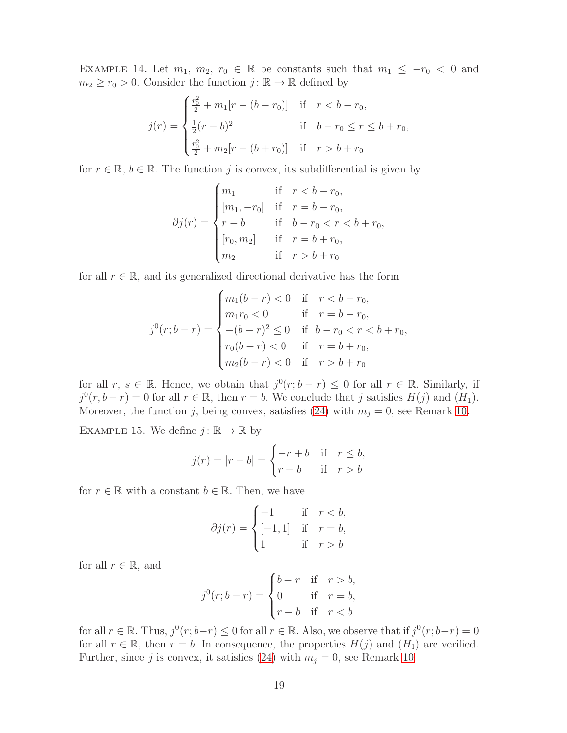EXAMPLE 14. Let  $m_1, m_2, r_0 \in \mathbb{R}$  be constants such that  $m_1 \leq -r_0 < 0$  and  $m_2 \ge r_0 > 0$ . Consider the function  $j : \mathbb{R} \to \mathbb{R}$  defined by

$$
j(r) = \begin{cases} \frac{r_0^2}{2} + m_1[r - (b - r_0)] & \text{if } r < b - r_0, \\ \frac{1}{2}(r - b)^2 & \text{if } b - r_0 \le r \le b + r_0, \\ \frac{r_0^2}{2} + m_2[r - (b + r_0)] & \text{if } r > b + r_0 \end{cases}
$$

for  $r \in \mathbb{R}, b \in \mathbb{R}$ . The function j is convex, its subdifferential is given by

$$
\partial j(r) = \begin{cases} m_1 & \text{if } r < b - r_0, \\ [m_1, -r_0] & \text{if } r = b - r_0, \\ r - b & \text{if } b - r_0 < r < b + r_0, \\ [r_0, m_2] & \text{if } r = b + r_0, \\ m_2 & \text{if } r > b + r_0 \end{cases}
$$

for all  $r \in \mathbb{R}$ , and its generalized directional derivative has the form

$$
j^{0}(r;b-r) = \begin{cases} m_{1}(b-r) < 0 \quad \text{if} \quad r < b-r_{0}, \\ m_{1}r_{0} < 0 \quad \text{if} \quad r = b-r_{0}, \\ -(b-r)^{2} < 0 \quad \text{if} \quad b-r_{0} < r < b+r_{0}, \\ r_{0}(b-r) < 0 \quad \text{if} \quad r = b+r_{0}, \\ m_{2}(b-r) < 0 \quad \text{if} \quad r > b+r_{0} \end{cases}
$$

for all  $r, s \in \mathbb{R}$ . Hence, we obtain that  $j^0(r; b - r) \leq 0$  for all  $r \in \mathbb{R}$ . Similarly, if  $j^0(r, b - r) = 0$  for all  $r \in \mathbb{R}$ , then  $r = b$ . We conclude that j satisfies  $H(j)$  and  $(H_1)$ . Moreover, the function j, being convex, satisfies [\(24\)](#page-13-2) with  $m_j = 0$ , see Remark [10.](#page-16-1)

EXAMPLE 15. We define  $j: \mathbb{R} \to \mathbb{R}$  by

$$
j(r) = |r - b| = \begin{cases} -r + b & \text{if } r \le b, \\ r - b & \text{if } r > b \end{cases}
$$

for  $r \in \mathbb{R}$  with a constant  $b \in \mathbb{R}$ . Then, we have

$$
\partial j(r) = \begin{cases}\n-1 & \text{if } r < b, \\
[-1, 1] & \text{if } r = b, \\
1 & \text{if } r > b\n\end{cases}
$$

for all  $r \in \mathbb{R}$ , and

$$
j^{0}(r;b-r) = \begin{cases} b-r & \text{if } r > b, \\ 0 & \text{if } r = b, \\ r-b & \text{if } r < b \end{cases}
$$

for all  $r \in \mathbb{R}$ . Thus,  $j^0(r; b-r) \leq 0$  for all  $r \in \mathbb{R}$ . Also, we observe that if  $j^0(r; b-r) = 0$ for all  $r \in \mathbb{R}$ , then  $r = b$ . In consequence, the properties  $H(j)$  and  $(H_1)$  are verified. Further, since j is convex, it satisfies [\(24\)](#page-13-2) with  $m_j = 0$ , see Remark [10.](#page-16-1)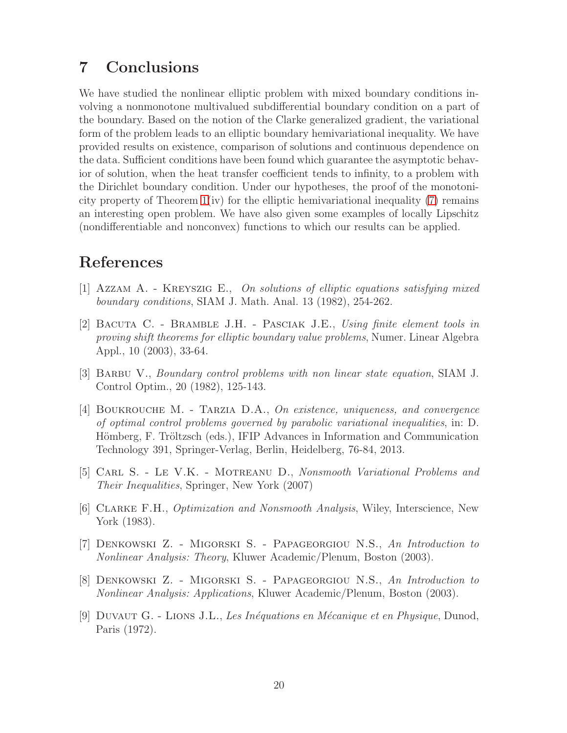## 7 Conclusions

We have studied the nonlinear elliptic problem with mixed boundary conditions involving a nonmonotone multivalued subdifferential boundary condition on a part of the boundary. Based on the notion of the Clarke generalized gradient, the variational form of the problem leads to an elliptic boundary hemivariational inequality. We have provided results on existence, comparison of solutions and continuous dependence on the data. Sufficient conditions have been found which guarantee the asymptotic behavior of solution, when the heat transfer coefficient tends to infinity, to a problem with the Dirichlet boundary condition. Under our hypotheses, the proof of the monotonicity property of Theorem [1\(](#page-2-0)iv) for the elliptic hemivariational inequality [\(7\)](#page-3-0) remains an interesting open problem. We have also given some examples of locally Lipschitz (nondifferentiable and nonconvex) functions to which our results can be applied.

## <span id="page-19-1"></span>References

- <span id="page-19-2"></span>[1] Azzam A. - Kreyszig E., On solutions of elliptic equations satisfying mixed boundary conditions, SIAM J. Math. Anal. 13 (1982), 254-262.
- [2] Bacuta C. Bramble J.H. Pasciak J.E., Using finite element tools in proving shift theorems for elliptic boundary value problems, Numer. Linear Algebra Appl., 10 (2003), 33-64.
- <span id="page-19-3"></span>[3] Barbu V., Boundary control problems with non linear state equation, SIAM J. Control Optim., 20 (1982), 125-143.
- <span id="page-19-5"></span>[4] Boukrouche M. - Tarzia D.A., On existence, uniqueness, and convergence of optimal control problems governed by parabolic variational inequalities, in: D. Hömberg, F. Tröltzsch (eds.), IFIP Advances in Information and Communication Technology 391, Springer-Verlag, Berlin, Heidelberg, 76-84, 2013.
- <span id="page-19-0"></span>[5] Carl S. - Le V.K. - Motreanu D., Nonsmooth Variational Problems and Their Inequalities, Springer, New York (2007)
- <span id="page-19-6"></span>[6] Clarke F.H., Optimization and Nonsmooth Analysis, Wiley, Interscience, New York (1983).
- <span id="page-19-7"></span>[7] Denkowski Z. - Migorski S. - Papageorgiou N.S., An Introduction to Nonlinear Analysis: Theory, Kluwer Academic/Plenum, Boston (2003).
- <span id="page-19-8"></span>[8] Denkowski Z. - Migorski S. - Papageorgiou N.S., An Introduction to Nonlinear Analysis: Applications, Kluwer Academic/Plenum, Boston (2003).
- <span id="page-19-4"></span>[9] DUVAUT G. - LIONS J.L., Les Inéquations en Mécanique et en Physique, Dunod, Paris (1972).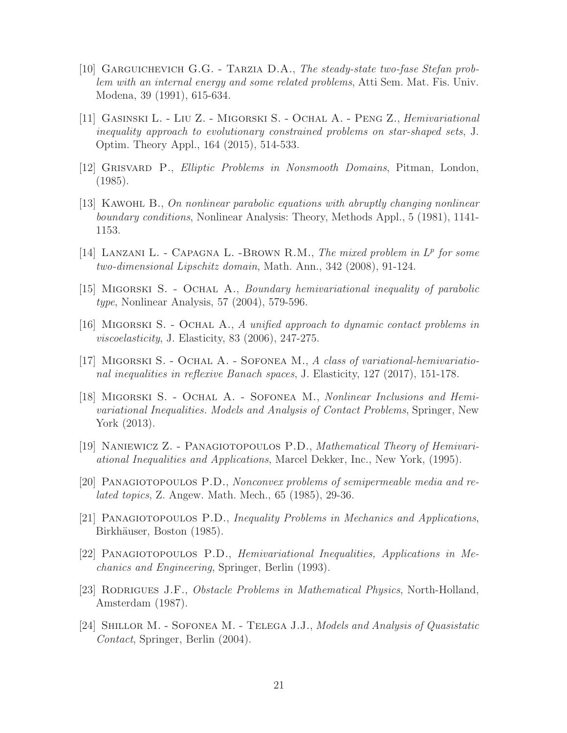- <span id="page-20-3"></span>[10] Garguichevich G.G. - Tarzia D.A., The steady-state two-fase Stefan problem with an internal energy and some related problems, Atti Sem. Mat. Fis. Univ. Modena, 39 (1991), 615-634.
- <span id="page-20-11"></span>[11] Gasinski L. - Liu Z. - Migorski S. - Ochal A. - Peng Z., Hemivariational inequality approach to evolutionary constrained problems on star-shaped sets, J. Optim. Theory Appl., 164 (2015), 514-533.
- <span id="page-20-7"></span><span id="page-20-0"></span>[12] Grisvard P., Elliptic Problems in Nonsmooth Domains, Pitman, London, (1985).
- [13] KAWOHL B., On nonlinear parabolic equations with abruptly changing nonlinear boundary conditions, Nonlinear Analysis: Theory, Methods Appl., 5 (1981), 1141- 1153.
- <span id="page-20-1"></span>[14] LANZANI L. - CAPAGNA L. -BROWN R.M., The mixed problem in  $L^p$  for some two-dimensional Lipschitz domain, Math. Ann., 342 (2008), 91-124.
- <span id="page-20-13"></span><span id="page-20-4"></span>[15] Migorski S. - Ochal A., Boundary hemivariational inequality of parabolic type, Nonlinear Analysis, 57 (2004), 579-596.
- <span id="page-20-14"></span>[16] Migorski S. - Ochal A., A unified approach to dynamic contact problems in viscoelasticity, J. Elasticity, 83 (2006), 247-275.
- <span id="page-20-10"></span>[17] MIGORSKI S. - OCHAL A. - SOFONEA M., A class of variational-hemivariational inequalities in reflexive Banach spaces, J. Elasticity, 127 (2017), 151-178.
- [18] Migorski S. Ochal A. Sofonea M., Nonlinear Inclusions and Hemivariational Inequalities. Models and Analysis of Contact Problems, Springer, New York (2013).
- <span id="page-20-6"></span><span id="page-20-5"></span>[19] NANIEWICZ Z. - PANAGIOTOPOULOS P.D., Mathematical Theory of Hemivariational Inequalities and Applications, Marcel Dekker, Inc., New York, (1995).
- <span id="page-20-8"></span>[20] Panagiotopoulos P.D., Nonconvex problems of semipermeable media and related topics, Z. Angew. Math. Mech., 65 (1985), 29-36.
- [21] PANAGIOTOPOULOS P.D., Inequality Problems in Mechanics and Applications, Birkhäuser, Boston (1985).
- <span id="page-20-9"></span>[22] Panagiotopoulos P.D., Hemivariational Inequalities, Applications in Mechanics and Engineering, Springer, Berlin (1993).
- <span id="page-20-2"></span>[23] RODRIGUES J.F., *Obstacle Problems in Mathematical Physics*, North-Holland, Amsterdam (1987).
- <span id="page-20-12"></span>[24] SHILLOR M. - SOFONEA M. - TELEGA J.J., Models and Analysis of Quasistatic Contact, Springer, Berlin (2004).